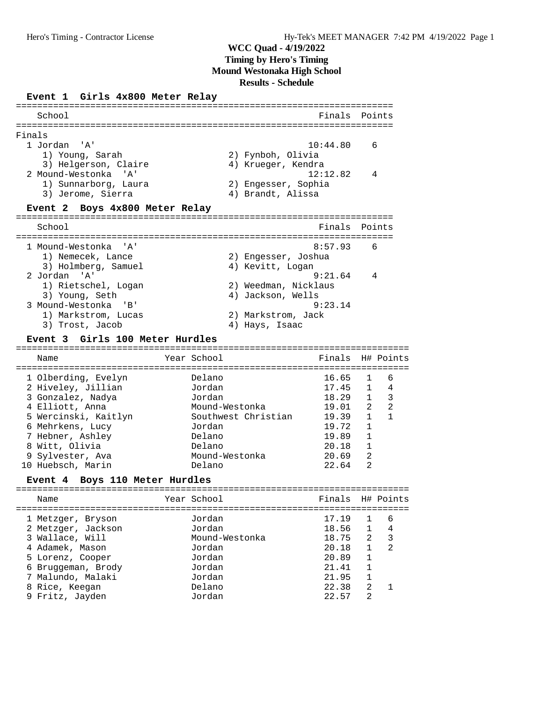#### **Event 1 Girls 4x800 Meter Relay**

| School                                                                                                                                  |                                                                                                     |                                                                                                                               |                                                                 | Finals                                                                                 |                                                                                 | Points                                      |
|-----------------------------------------------------------------------------------------------------------------------------------------|-----------------------------------------------------------------------------------------------------|-------------------------------------------------------------------------------------------------------------------------------|-----------------------------------------------------------------|----------------------------------------------------------------------------------------|---------------------------------------------------------------------------------|---------------------------------------------|
|                                                                                                                                         |                                                                                                     |                                                                                                                               |                                                                 |                                                                                        |                                                                                 |                                             |
| Finals<br>1 Jordan                                                                                                                      | ' 'A '<br>1) Young, Sarah<br>3) Helgerson, Claire                                                   |                                                                                                                               | 2) Fynboh, Olivia<br>4) Krueger, Kendra                         | 10:44.80                                                                               |                                                                                 | 6                                           |
|                                                                                                                                         | 2 Mound-Westonka 'A'<br>1) Sunnarborg, Laura<br>3) Jerome, Sierra                                   |                                                                                                                               | 2) Engesser, Sophia<br>4) Brandt, Alissa                        | 12:12.82                                                                               |                                                                                 | 4                                           |
| Event 2                                                                                                                                 | Boys 4x800 Meter Relay                                                                              |                                                                                                                               |                                                                 |                                                                                        |                                                                                 |                                             |
| School                                                                                                                                  |                                                                                                     |                                                                                                                               |                                                                 | Finals                                                                                 |                                                                                 | Points                                      |
|                                                                                                                                         | 1 Mound-Westonka 'A'<br>1) Nemecek, Lance<br>3) Holmberg, Samuel                                    |                                                                                                                               | 2) Engesser, Joshua<br>4) Kevitt, Logan                         | 8:57.93                                                                                |                                                                                 | 6                                           |
| 2 Jordan 'A'                                                                                                                            | 1) Rietschel, Logan<br>3) Young, Seth<br>3 Mound-Westonka 'B'<br>1) Markstrom, Lucas                |                                                                                                                               | 2) Weedman, Nicklaus<br>4) Jackson, Wells<br>2) Markstrom, Jack | 9:21.64<br>9:23.14                                                                     |                                                                                 | 4                                           |
| Event 3                                                                                                                                 | 3) Trost, Jacob<br>Girls 100 Meter Hurdles                                                          |                                                                                                                               | 4) Hays, Isaac                                                  |                                                                                        |                                                                                 |                                             |
| Name                                                                                                                                    |                                                                                                     | Year School                                                                                                                   |                                                                 | Finals                                                                                 |                                                                                 | H# Points                                   |
| 3 Gonzalez, Nadya<br>4 Elliott, Anna<br>6 Mehrkens, Lucy<br>7 Hebner, Ashley<br>8 Witt, Olivia<br>9 Sylvester, Ava<br>10 Huebsch, Marin | 1 Olberding, Evelyn<br>2 Hiveley, Jillian<br>5 Wercinski, Kaitlyn<br>Event 4 Boys 110 Meter Hurdles | Delano<br>Jordan<br>Jordan<br>Mound-Westonka<br>Southwest Christian<br>Jordan<br>Delano<br>Delano<br>Mound-Westonka<br>Delano |                                                                 | 16.65<br>17.45<br>18.29<br>19.01<br>19.39<br>19.72<br>19.89<br>20.18<br>20.69<br>22.64 | 1<br>$\mathbf{1}$<br>1<br>2<br>1<br>$\mathbf{1}$<br>$\mathbf{1}$<br>1<br>2<br>2 | 6<br>4<br>$\overline{\mathbf{3}}$<br>2<br>1 |
|                                                                                                                                         |                                                                                                     |                                                                                                                               |                                                                 |                                                                                        |                                                                                 |                                             |
| Name                                                                                                                                    |                                                                                                     | Year School                                                                                                                   |                                                                 | Finals H# Points                                                                       |                                                                                 |                                             |
| 1 Metzger, Bryson<br>3 Wallace, Will<br>4 Adamek, Mason<br>5 Lorenz, Cooper                                                             | 2 Metzger, Jackson                                                                                  | Jordan<br>Jordan<br>Mound-Westonka<br>Jordan<br>Jordan                                                                        |                                                                 | 17.19<br>18.56<br>18.75<br>20.18<br>20.89                                              | 1<br>1<br>$\overline{2}$<br>$\mathbf{1}$<br>1                                   | 6<br>4<br>3<br>2                            |
|                                                                                                                                         | 6 Bruggeman, Brody                                                                                  | Jordan                                                                                                                        |                                                                 | 21.41                                                                                  | 1                                                                               |                                             |

 6 Bruggeman, Brody Jordan 21.41 1 7 Malundo, Malaki Jordan 21.95 1

9 Fritz, Jayden Jordan

8 Rice, Keegan Delano 22.38 2 1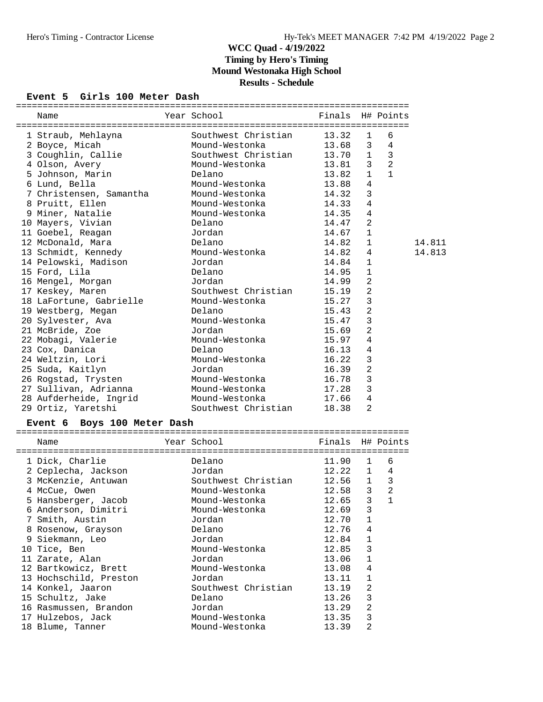#### **Event 5 Girls 100 Meter Dash**

| Year School<br>Finals H# Points<br>Name<br>Southwest Christian<br>13.32<br>6<br>1 Straub, Mehlayna<br>1<br>$\overline{4}$<br>13.68<br>2 Boyce, Micah<br>Mound-Westonka<br>3<br>$\overline{3}$<br>3 Coughlin, Callie<br>Southwest Christian<br>13.70<br>$\mathbf{1}$<br>2<br>Mound-Westonka<br>3<br>4 Olson, Avery<br>13.81<br>5 Johnson, Marin<br>$\mathbf{1}$<br>$\mathbf{1}$<br>Delano<br>13.82<br>6 Lund, Bella<br>Mound-Westonka<br>4<br>13.88<br>Mound-Westonka<br>3<br>7 Christensen, Samantha<br>14.32<br>4<br>8 Pruitt, Ellen<br>Mound-Westonka<br>14.33<br>4<br>9 Miner, Natalie<br>Mound-Westonka<br>14.35<br>2<br>10 Mayers, Vivian<br>Delano<br>14.47<br>11 Goebel, Reagan<br>14.67<br>1<br>Jordan<br>12 McDonald, Mara<br>Delano<br>14.82<br>1<br>14.811<br>13 Schmidt, Kennedy<br>Mound-Westonka<br>14.813<br>14.82<br>4<br>$\mathbf{1}$<br>14 Pelowski, Madison<br>Jordan<br>14.84<br>$\mathbf{1}$<br>15 Ford, Lila<br>Delano<br>14.95<br>2<br>16 Mengel, Morgan<br>Jordan<br>14.99<br>2<br>Southwest Christian<br>17 Keskey, Maren<br>15.19<br>3<br>18 LaFortune, Gabrielle<br>Mound-Westonka<br>15.27<br>2<br>19 Westberg, Megan<br>Delano<br>15.43<br>3<br>20 Sylvester, Ava<br>Mound-Westonka<br>15.47<br>$\overline{2}$<br>21 McBride, Zoe<br>Jordan<br>15.69<br>4<br>22 Mobagi, Valerie<br>Mound-Westonka<br>15.97<br>4<br>23 Cox, Danica<br>Delano<br>16.13<br>3<br>24 Weltzin, Lori<br>Mound-Westonka<br>16.22<br>2<br>25 Suda, Kaitlyn<br>Jordan<br>16.39<br>3<br>26 Rogstad, Trysten<br>Mound-Westonka<br>16.78<br>$\mathbf{3}$<br>27 Sullivan, Adrianna<br>Mound-Westonka<br>17.28<br>4<br>28 Aufderheide, Ingrid<br>Mound-Westonka<br>17.66<br>2<br>29 Ortiz, Yaretshi<br>Southwest Christian<br>18.38<br>Event 6 Boys 100 Meter Dash<br>Year School<br>Finals H# Points<br>Name<br>1 Dick, Charlie<br>11.90<br>6<br>Delano<br>1<br>2 Ceplecha, Jackson<br>12.22<br>Jordan<br>1 4<br>Southwest Christian<br>12.56<br>$1 \quad 3$<br>3 McKenzie, Antuwan<br>$\overline{2}$<br>12.58<br>4 McCue, Owen<br>Mound-Westonka<br>3<br>$12.65$ 3 1<br>5 Hansberger, Jacob<br>Mound-Westonka<br>6 Anderson, Dimitri<br>Mound-Westonka<br>12.69<br>3<br>7 Smith, Austin<br>Jordan<br>12.70<br>$\mathbf{1}$<br>Delano<br>8 Rosenow, Grayson<br>12.76<br>4 |  |  |  |  |
|--------------------------------------------------------------------------------------------------------------------------------------------------------------------------------------------------------------------------------------------------------------------------------------------------------------------------------------------------------------------------------------------------------------------------------------------------------------------------------------------------------------------------------------------------------------------------------------------------------------------------------------------------------------------------------------------------------------------------------------------------------------------------------------------------------------------------------------------------------------------------------------------------------------------------------------------------------------------------------------------------------------------------------------------------------------------------------------------------------------------------------------------------------------------------------------------------------------------------------------------------------------------------------------------------------------------------------------------------------------------------------------------------------------------------------------------------------------------------------------------------------------------------------------------------------------------------------------------------------------------------------------------------------------------------------------------------------------------------------------------------------------------------------------------------------------------------------------------------------------------------------------------------------------------------------------------------------------------------------------------------------------------------------------------------------------------------------------------------------------------------------------------------------------------------------------------------------------------------------------------------------------------------|--|--|--|--|
|                                                                                                                                                                                                                                                                                                                                                                                                                                                                                                                                                                                                                                                                                                                                                                                                                                                                                                                                                                                                                                                                                                                                                                                                                                                                                                                                                                                                                                                                                                                                                                                                                                                                                                                                                                                                                                                                                                                                                                                                                                                                                                                                                                                                                                                                          |  |  |  |  |
|                                                                                                                                                                                                                                                                                                                                                                                                                                                                                                                                                                                                                                                                                                                                                                                                                                                                                                                                                                                                                                                                                                                                                                                                                                                                                                                                                                                                                                                                                                                                                                                                                                                                                                                                                                                                                                                                                                                                                                                                                                                                                                                                                                                                                                                                          |  |  |  |  |
|                                                                                                                                                                                                                                                                                                                                                                                                                                                                                                                                                                                                                                                                                                                                                                                                                                                                                                                                                                                                                                                                                                                                                                                                                                                                                                                                                                                                                                                                                                                                                                                                                                                                                                                                                                                                                                                                                                                                                                                                                                                                                                                                                                                                                                                                          |  |  |  |  |
|                                                                                                                                                                                                                                                                                                                                                                                                                                                                                                                                                                                                                                                                                                                                                                                                                                                                                                                                                                                                                                                                                                                                                                                                                                                                                                                                                                                                                                                                                                                                                                                                                                                                                                                                                                                                                                                                                                                                                                                                                                                                                                                                                                                                                                                                          |  |  |  |  |
|                                                                                                                                                                                                                                                                                                                                                                                                                                                                                                                                                                                                                                                                                                                                                                                                                                                                                                                                                                                                                                                                                                                                                                                                                                                                                                                                                                                                                                                                                                                                                                                                                                                                                                                                                                                                                                                                                                                                                                                                                                                                                                                                                                                                                                                                          |  |  |  |  |
|                                                                                                                                                                                                                                                                                                                                                                                                                                                                                                                                                                                                                                                                                                                                                                                                                                                                                                                                                                                                                                                                                                                                                                                                                                                                                                                                                                                                                                                                                                                                                                                                                                                                                                                                                                                                                                                                                                                                                                                                                                                                                                                                                                                                                                                                          |  |  |  |  |
|                                                                                                                                                                                                                                                                                                                                                                                                                                                                                                                                                                                                                                                                                                                                                                                                                                                                                                                                                                                                                                                                                                                                                                                                                                                                                                                                                                                                                                                                                                                                                                                                                                                                                                                                                                                                                                                                                                                                                                                                                                                                                                                                                                                                                                                                          |  |  |  |  |
|                                                                                                                                                                                                                                                                                                                                                                                                                                                                                                                                                                                                                                                                                                                                                                                                                                                                                                                                                                                                                                                                                                                                                                                                                                                                                                                                                                                                                                                                                                                                                                                                                                                                                                                                                                                                                                                                                                                                                                                                                                                                                                                                                                                                                                                                          |  |  |  |  |
|                                                                                                                                                                                                                                                                                                                                                                                                                                                                                                                                                                                                                                                                                                                                                                                                                                                                                                                                                                                                                                                                                                                                                                                                                                                                                                                                                                                                                                                                                                                                                                                                                                                                                                                                                                                                                                                                                                                                                                                                                                                                                                                                                                                                                                                                          |  |  |  |  |
|                                                                                                                                                                                                                                                                                                                                                                                                                                                                                                                                                                                                                                                                                                                                                                                                                                                                                                                                                                                                                                                                                                                                                                                                                                                                                                                                                                                                                                                                                                                                                                                                                                                                                                                                                                                                                                                                                                                                                                                                                                                                                                                                                                                                                                                                          |  |  |  |  |
|                                                                                                                                                                                                                                                                                                                                                                                                                                                                                                                                                                                                                                                                                                                                                                                                                                                                                                                                                                                                                                                                                                                                                                                                                                                                                                                                                                                                                                                                                                                                                                                                                                                                                                                                                                                                                                                                                                                                                                                                                                                                                                                                                                                                                                                                          |  |  |  |  |
|                                                                                                                                                                                                                                                                                                                                                                                                                                                                                                                                                                                                                                                                                                                                                                                                                                                                                                                                                                                                                                                                                                                                                                                                                                                                                                                                                                                                                                                                                                                                                                                                                                                                                                                                                                                                                                                                                                                                                                                                                                                                                                                                                                                                                                                                          |  |  |  |  |
|                                                                                                                                                                                                                                                                                                                                                                                                                                                                                                                                                                                                                                                                                                                                                                                                                                                                                                                                                                                                                                                                                                                                                                                                                                                                                                                                                                                                                                                                                                                                                                                                                                                                                                                                                                                                                                                                                                                                                                                                                                                                                                                                                                                                                                                                          |  |  |  |  |
|                                                                                                                                                                                                                                                                                                                                                                                                                                                                                                                                                                                                                                                                                                                                                                                                                                                                                                                                                                                                                                                                                                                                                                                                                                                                                                                                                                                                                                                                                                                                                                                                                                                                                                                                                                                                                                                                                                                                                                                                                                                                                                                                                                                                                                                                          |  |  |  |  |
|                                                                                                                                                                                                                                                                                                                                                                                                                                                                                                                                                                                                                                                                                                                                                                                                                                                                                                                                                                                                                                                                                                                                                                                                                                                                                                                                                                                                                                                                                                                                                                                                                                                                                                                                                                                                                                                                                                                                                                                                                                                                                                                                                                                                                                                                          |  |  |  |  |
|                                                                                                                                                                                                                                                                                                                                                                                                                                                                                                                                                                                                                                                                                                                                                                                                                                                                                                                                                                                                                                                                                                                                                                                                                                                                                                                                                                                                                                                                                                                                                                                                                                                                                                                                                                                                                                                                                                                                                                                                                                                                                                                                                                                                                                                                          |  |  |  |  |
|                                                                                                                                                                                                                                                                                                                                                                                                                                                                                                                                                                                                                                                                                                                                                                                                                                                                                                                                                                                                                                                                                                                                                                                                                                                                                                                                                                                                                                                                                                                                                                                                                                                                                                                                                                                                                                                                                                                                                                                                                                                                                                                                                                                                                                                                          |  |  |  |  |
|                                                                                                                                                                                                                                                                                                                                                                                                                                                                                                                                                                                                                                                                                                                                                                                                                                                                                                                                                                                                                                                                                                                                                                                                                                                                                                                                                                                                                                                                                                                                                                                                                                                                                                                                                                                                                                                                                                                                                                                                                                                                                                                                                                                                                                                                          |  |  |  |  |
|                                                                                                                                                                                                                                                                                                                                                                                                                                                                                                                                                                                                                                                                                                                                                                                                                                                                                                                                                                                                                                                                                                                                                                                                                                                                                                                                                                                                                                                                                                                                                                                                                                                                                                                                                                                                                                                                                                                                                                                                                                                                                                                                                                                                                                                                          |  |  |  |  |
|                                                                                                                                                                                                                                                                                                                                                                                                                                                                                                                                                                                                                                                                                                                                                                                                                                                                                                                                                                                                                                                                                                                                                                                                                                                                                                                                                                                                                                                                                                                                                                                                                                                                                                                                                                                                                                                                                                                                                                                                                                                                                                                                                                                                                                                                          |  |  |  |  |
|                                                                                                                                                                                                                                                                                                                                                                                                                                                                                                                                                                                                                                                                                                                                                                                                                                                                                                                                                                                                                                                                                                                                                                                                                                                                                                                                                                                                                                                                                                                                                                                                                                                                                                                                                                                                                                                                                                                                                                                                                                                                                                                                                                                                                                                                          |  |  |  |  |
|                                                                                                                                                                                                                                                                                                                                                                                                                                                                                                                                                                                                                                                                                                                                                                                                                                                                                                                                                                                                                                                                                                                                                                                                                                                                                                                                                                                                                                                                                                                                                                                                                                                                                                                                                                                                                                                                                                                                                                                                                                                                                                                                                                                                                                                                          |  |  |  |  |
|                                                                                                                                                                                                                                                                                                                                                                                                                                                                                                                                                                                                                                                                                                                                                                                                                                                                                                                                                                                                                                                                                                                                                                                                                                                                                                                                                                                                                                                                                                                                                                                                                                                                                                                                                                                                                                                                                                                                                                                                                                                                                                                                                                                                                                                                          |  |  |  |  |
|                                                                                                                                                                                                                                                                                                                                                                                                                                                                                                                                                                                                                                                                                                                                                                                                                                                                                                                                                                                                                                                                                                                                                                                                                                                                                                                                                                                                                                                                                                                                                                                                                                                                                                                                                                                                                                                                                                                                                                                                                                                                                                                                                                                                                                                                          |  |  |  |  |
|                                                                                                                                                                                                                                                                                                                                                                                                                                                                                                                                                                                                                                                                                                                                                                                                                                                                                                                                                                                                                                                                                                                                                                                                                                                                                                                                                                                                                                                                                                                                                                                                                                                                                                                                                                                                                                                                                                                                                                                                                                                                                                                                                                                                                                                                          |  |  |  |  |
|                                                                                                                                                                                                                                                                                                                                                                                                                                                                                                                                                                                                                                                                                                                                                                                                                                                                                                                                                                                                                                                                                                                                                                                                                                                                                                                                                                                                                                                                                                                                                                                                                                                                                                                                                                                                                                                                                                                                                                                                                                                                                                                                                                                                                                                                          |  |  |  |  |
|                                                                                                                                                                                                                                                                                                                                                                                                                                                                                                                                                                                                                                                                                                                                                                                                                                                                                                                                                                                                                                                                                                                                                                                                                                                                                                                                                                                                                                                                                                                                                                                                                                                                                                                                                                                                                                                                                                                                                                                                                                                                                                                                                                                                                                                                          |  |  |  |  |
|                                                                                                                                                                                                                                                                                                                                                                                                                                                                                                                                                                                                                                                                                                                                                                                                                                                                                                                                                                                                                                                                                                                                                                                                                                                                                                                                                                                                                                                                                                                                                                                                                                                                                                                                                                                                                                                                                                                                                                                                                                                                                                                                                                                                                                                                          |  |  |  |  |
|                                                                                                                                                                                                                                                                                                                                                                                                                                                                                                                                                                                                                                                                                                                                                                                                                                                                                                                                                                                                                                                                                                                                                                                                                                                                                                                                                                                                                                                                                                                                                                                                                                                                                                                                                                                                                                                                                                                                                                                                                                                                                                                                                                                                                                                                          |  |  |  |  |
|                                                                                                                                                                                                                                                                                                                                                                                                                                                                                                                                                                                                                                                                                                                                                                                                                                                                                                                                                                                                                                                                                                                                                                                                                                                                                                                                                                                                                                                                                                                                                                                                                                                                                                                                                                                                                                                                                                                                                                                                                                                                                                                                                                                                                                                                          |  |  |  |  |
|                                                                                                                                                                                                                                                                                                                                                                                                                                                                                                                                                                                                                                                                                                                                                                                                                                                                                                                                                                                                                                                                                                                                                                                                                                                                                                                                                                                                                                                                                                                                                                                                                                                                                                                                                                                                                                                                                                                                                                                                                                                                                                                                                                                                                                                                          |  |  |  |  |
|                                                                                                                                                                                                                                                                                                                                                                                                                                                                                                                                                                                                                                                                                                                                                                                                                                                                                                                                                                                                                                                                                                                                                                                                                                                                                                                                                                                                                                                                                                                                                                                                                                                                                                                                                                                                                                                                                                                                                                                                                                                                                                                                                                                                                                                                          |  |  |  |  |
|                                                                                                                                                                                                                                                                                                                                                                                                                                                                                                                                                                                                                                                                                                                                                                                                                                                                                                                                                                                                                                                                                                                                                                                                                                                                                                                                                                                                                                                                                                                                                                                                                                                                                                                                                                                                                                                                                                                                                                                                                                                                                                                                                                                                                                                                          |  |  |  |  |
|                                                                                                                                                                                                                                                                                                                                                                                                                                                                                                                                                                                                                                                                                                                                                                                                                                                                                                                                                                                                                                                                                                                                                                                                                                                                                                                                                                                                                                                                                                                                                                                                                                                                                                                                                                                                                                                                                                                                                                                                                                                                                                                                                                                                                                                                          |  |  |  |  |
|                                                                                                                                                                                                                                                                                                                                                                                                                                                                                                                                                                                                                                                                                                                                                                                                                                                                                                                                                                                                                                                                                                                                                                                                                                                                                                                                                                                                                                                                                                                                                                                                                                                                                                                                                                                                                                                                                                                                                                                                                                                                                                                                                                                                                                                                          |  |  |  |  |
|                                                                                                                                                                                                                                                                                                                                                                                                                                                                                                                                                                                                                                                                                                                                                                                                                                                                                                                                                                                                                                                                                                                                                                                                                                                                                                                                                                                                                                                                                                                                                                                                                                                                                                                                                                                                                                                                                                                                                                                                                                                                                                                                                                                                                                                                          |  |  |  |  |
|                                                                                                                                                                                                                                                                                                                                                                                                                                                                                                                                                                                                                                                                                                                                                                                                                                                                                                                                                                                                                                                                                                                                                                                                                                                                                                                                                                                                                                                                                                                                                                                                                                                                                                                                                                                                                                                                                                                                                                                                                                                                                                                                                                                                                                                                          |  |  |  |  |
|                                                                                                                                                                                                                                                                                                                                                                                                                                                                                                                                                                                                                                                                                                                                                                                                                                                                                                                                                                                                                                                                                                                                                                                                                                                                                                                                                                                                                                                                                                                                                                                                                                                                                                                                                                                                                                                                                                                                                                                                                                                                                                                                                                                                                                                                          |  |  |  |  |
|                                                                                                                                                                                                                                                                                                                                                                                                                                                                                                                                                                                                                                                                                                                                                                                                                                                                                                                                                                                                                                                                                                                                                                                                                                                                                                                                                                                                                                                                                                                                                                                                                                                                                                                                                                                                                                                                                                                                                                                                                                                                                                                                                                                                                                                                          |  |  |  |  |
|                                                                                                                                                                                                                                                                                                                                                                                                                                                                                                                                                                                                                                                                                                                                                                                                                                                                                                                                                                                                                                                                                                                                                                                                                                                                                                                                                                                                                                                                                                                                                                                                                                                                                                                                                                                                                                                                                                                                                                                                                                                                                                                                                                                                                                                                          |  |  |  |  |
|                                                                                                                                                                                                                                                                                                                                                                                                                                                                                                                                                                                                                                                                                                                                                                                                                                                                                                                                                                                                                                                                                                                                                                                                                                                                                                                                                                                                                                                                                                                                                                                                                                                                                                                                                                                                                                                                                                                                                                                                                                                                                                                                                                                                                                                                          |  |  |  |  |
| Jordan<br>9 Siekmann, Leo<br>12.84<br>$\mathbf 1$                                                                                                                                                                                                                                                                                                                                                                                                                                                                                                                                                                                                                                                                                                                                                                                                                                                                                                                                                                                                                                                                                                                                                                                                                                                                                                                                                                                                                                                                                                                                                                                                                                                                                                                                                                                                                                                                                                                                                                                                                                                                                                                                                                                                                        |  |  |  |  |
| 10 Tice, Ben<br>Mound-Westonka<br>12.85<br>3                                                                                                                                                                                                                                                                                                                                                                                                                                                                                                                                                                                                                                                                                                                                                                                                                                                                                                                                                                                                                                                                                                                                                                                                                                                                                                                                                                                                                                                                                                                                                                                                                                                                                                                                                                                                                                                                                                                                                                                                                                                                                                                                                                                                                             |  |  |  |  |
| Jordan<br>11 Zarate, Alan<br>13.06<br>$\mathbf 1$                                                                                                                                                                                                                                                                                                                                                                                                                                                                                                                                                                                                                                                                                                                                                                                                                                                                                                                                                                                                                                                                                                                                                                                                                                                                                                                                                                                                                                                                                                                                                                                                                                                                                                                                                                                                                                                                                                                                                                                                                                                                                                                                                                                                                        |  |  |  |  |
| 12 Bartkowicz, Brett<br>Mound-Westonka<br>13.08<br>4                                                                                                                                                                                                                                                                                                                                                                                                                                                                                                                                                                                                                                                                                                                                                                                                                                                                                                                                                                                                                                                                                                                                                                                                                                                                                                                                                                                                                                                                                                                                                                                                                                                                                                                                                                                                                                                                                                                                                                                                                                                                                                                                                                                                                     |  |  |  |  |

 13 Hochschild, Preston Jordan 13.11 1 14 Konkel, Jaaron Southwest Christian 13.19 2 15 Schultz, Jake Delano 13.26 3 16 Rasmussen, Brandon Jordan 13.29 2 17 Hulzebos, Jack Mound-Westonka 13.35 3 18 Blume, Tanner Mound-Westonka 13.39 2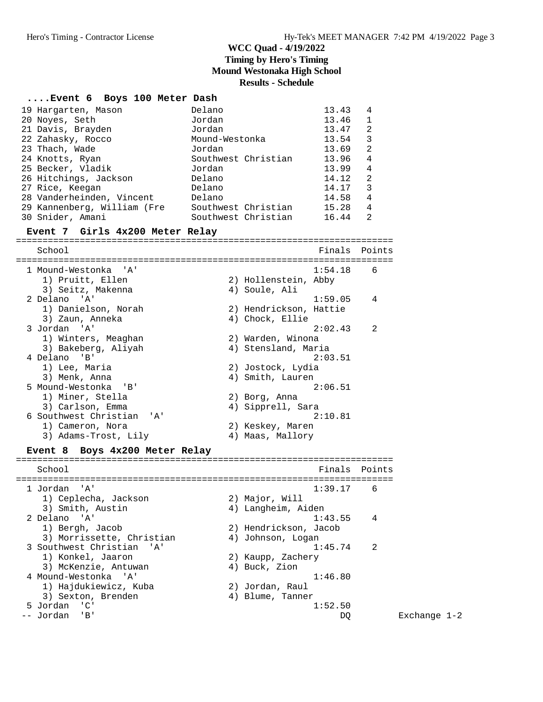#### **....Event 6 Boys 100 Meter Dash**

| 19 Hargarten, Mason         | Delano              | 13.43 | 4 |
|-----------------------------|---------------------|-------|---|
| 20 Noyes, Seth              | Jordan              | 13.46 | 1 |
| 21 Davis, Brayden           | Jordan              | 13.47 | 2 |
| 22 Zahasky, Rocco           | Mound-Westonka      | 13.54 | 3 |
| 23 Thach, Wade              | Jordan              | 13.69 | 2 |
| 24 Knotts, Ryan             | Southwest Christian | 13.96 | 4 |
| 25 Becker, Vladik           | Jordan              | 13.99 | 4 |
| 26 Hitchings, Jackson       | Delano              | 14.12 | 2 |
| 27 Rice, Keegan             | Delano              | 14.17 | 3 |
| 28 Vanderheinden, Vincent   | Delano              | 14.58 | 4 |
| 29 Kannenberg, William (Fre | Southwest Christian | 15.28 | 4 |
| 30 Snider, Amani            | Southwest Christian | 16.44 | 2 |

#### **Event 7 Girls 4x200 Meter Relay**

======================================================================= School **Finals** Points ======================================================================= 1 Mound-Westonka 'A' 1:54.18 6 1) Pruitt, Ellen 2) Hollenstein, Abby 3) Seitz, Makenna (4) Soule, Ali 2 Delano 'A' 1:59.05 4 1) Danielson, Norah 2) Hendrickson, Hattie 3) Zaun, Anneka 4) Chock, Ellie 3 Jordan 'A' 2:02.43 2 1) Winters, Meaghan 2) Warden, Winona 3) Bakeberg, Aliyah 4) Stensland, Maria 4 Delano 'B' 2:03.51 1) Lee, Maria (2) Jostock, Lydia<br>3) Menk, Anna (2) 2) Smith, Lauren 3) Menk, Anna (1999) 1999 (1999) 4) Smith, Lauren 5 Mound-Westonka 'B' 2:06.51 1) Miner, Stella 2) Borg, Anna 3) Carlson, Emma (4) Sipprell, Sara 6 Southwest Christian 'A' 2:10.81 1) Cameron, Nora 2) Keskey, Maren 2) Sameron, Nora<br>3) Adams-Trost, Lily (2) Keskey, Maren<br>2) Maas, Mallory<br>2) Maas, Mallory **Event 8 Boys 4x200 Meter Relay** ======================================================================= School **Finals Points** ======================================================================= 1 Jordan 'A' 1:39.17 6

| l Jordan 'A'              | $\perp$ : 39.17       | b              |
|---------------------------|-----------------------|----------------|
| 1) Ceplecha, Jackson      | 2) Major, Will        |                |
| 3) Smith, Austin          | 4) Langheim, Aiden    |                |
| 2 Delano 'A'              | 1:43.55               | $\overline{4}$ |
| 1) Bergh, Jacob           | 2) Hendrickson, Jacob |                |
| 3) Morrissette, Christian | 4) Johnson, Logan     |                |
| 3 Southwest Christian 'A' | 1:45.74               | $\mathfrak{D}$ |
| 1) Konkel, Jaaron         | 2) Kaupp, Zachery     |                |
| 3) McKenzie, Antuwan      | 4) Buck, Zion         |                |
| 4 Mound-Westonka 'A'      | 1:46.80               |                |
| 1) Hajdukiewicz, Kuba     | 2) Jordan, Raul       |                |
| 3) Sexton, Brenden        | 4) Blume, Tanner      |                |
| 5 Jordan 'C'              | 1:52.50               |                |
| Jordan 'B'                | DO                    |                |
|                           |                       |                |

Exchange 1-2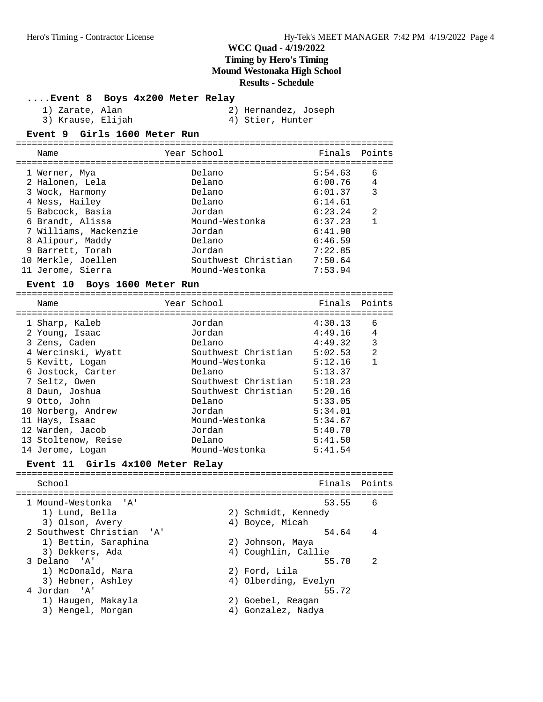| Event 8 Boys 4x200 Meter Relay |  |  |  |  |
|--------------------------------|--|--|--|--|
|--------------------------------|--|--|--|--|

| 1) | Zarate, | Alan |
|----|---------|------|
|    |         |      |

2) Hernandez, Joseph

=======================================================================

- 
- 3) Krause, Elijah (4) Stier, Hunter

#### **Event 9 Girls 1600 Meter Run**

| Name                                                                                                                                                                                                 | Year School                                                                                                           | Finals Points                                                                                              |                                            |
|------------------------------------------------------------------------------------------------------------------------------------------------------------------------------------------------------|-----------------------------------------------------------------------------------------------------------------------|------------------------------------------------------------------------------------------------------------|--------------------------------------------|
| 1 Werner, Mya<br>2 Halonen, Lela<br>3 Wock, Harmony<br>4 Ness, Hailey<br>5 Babcock, Basia<br>6 Brandt, Alissa<br>7 Williams, Mackenzie<br>8 Alipour, Maddy<br>9 Barrett, Torah<br>10 Merkle, Joellen | Delano<br>Delano<br>Delano<br>Delano<br>Jordan<br>Mound-Westonka<br>Jordan<br>Delano<br>Jordan<br>Southwest Christian | 5:54.63<br>6:00.76<br>6:01.37<br>6:14.61<br>6:23.24<br>6:37.23<br>6:41.90<br>6:46.59<br>7:22.85<br>7:50.64 | 6<br>$\overline{4}$<br>3<br>$\mathfrak{D}$ |
| 11 Jerome, Sierra                                                                                                                                                                                    | Mound-Westonka                                                                                                        | 7:53.94                                                                                                    |                                            |
|                                                                                                                                                                                                      |                                                                                                                       |                                                                                                            |                                            |

#### **Event 10 Boys 1600 Meter Run**

| Name                | Year School         | Finals Points |   |
|---------------------|---------------------|---------------|---|
| 1 Sharp, Kaleb      | Jordan              | 4:30.13       | 6 |
| 2 Young, Isaac      | Jordan              | 4:49.16       | 4 |
| 3 Zens, Caden       | Delano              | 4:49.32       | 3 |
| 4 Wercinski, Wyatt  | Southwest Christian | 5:02.53       | 2 |
| 5 Kevitt, Logan     | Mound-Westonka      | 5:12.16       |   |
| 6 Jostock, Carter   | Delano              | 5:13.37       |   |
| 7 Seltz, Owen       | Southwest Christian | 5:18.23       |   |
| 8 Daun, Joshua      | Southwest Christian | 5:20.16       |   |
| 9 Otto, John        | Delano              | 5:33.05       |   |
| 10 Norberg, Andrew  | Jordan              | 5:34.01       |   |
| 11 Hays, Isaac      | Mound-Westonka      | 5:34.67       |   |
| 12 Warden, Jacob    | Jordan              | 5:40.70       |   |
| 13 Stoltenow, Reise | Delano              | 5:41.50       |   |
| 14 Jerome, Logan    | Mound-Westonka      | 5:41.54       |   |

#### **Event 11 Girls 4x100 Meter Relay**

======================================================================= School **Finals Points** ======================================================================= 1 Mound-Westonka 'A' 53.55 6 1) Lund, Bella 2) Schmidt, Kennedy 3) Olson, Avery (4) Boyce, Micah 2 Southwest Christian 'A' 54.64 4 1) Bettin, Saraphina 2) Johnson, Maya 3) Dekkers, Ada (4) Coughlin, Callie 3 Delano 'A' 55.70 2 1) McDonald, Mara<br>3) Hebner, Ashley 2) Ford, Lila<br>4) Olberding, Evelyn 4 Jordan 'A' 55.72 1) Haugen, Makayla 2) Goebel, Reagan 3) Mengel, Morgan (4) Gonzalez, Nadya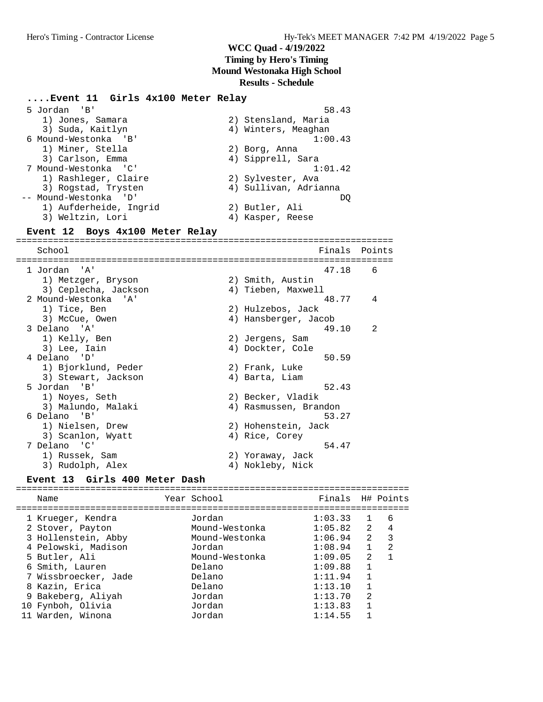#### **....Event 11 Girls 4x100 Meter Relay** 5 Jordan 'B' 58.43 1) Jones, Samara 2) Stensland, Maria 3) Suda, Kaitlyn (4) Winters, Meaghan 6 Mound-Westonka 'B' 1:00.43 1) Miner, Stella<br>3) Gorless F 3) Carlson, Emma (4) Sipprell, Sara 7 Mound-Westonka 'C' 1:01.42 1) Rashleger, Claire (2) Sylvester, Ava 3) Rogstad, Trysten 4) Sullivan, Adrianna -- Mound-Westonka 'D' DQ 1) Aufderheide, Ingrid 2) Butler, Ali 3) Weltzin, Lori (4) Kasper, Reese **Event 12 Boys 4x100 Meter Relay** ======================================================================= School **Finals** Points ======================================================================= 1 Jordan 'A' 1 (1993)<br>1 Metzger, Bryson (2) Smith, Austin (3) Ceplecha, Jackson (4) Tieben, Maxwell 1) Metzger, Bryson 2) Smith, Austin 3) Ceplecha, Jackson (4) 4) Tieben, Maxwell 2 Mound-Westonka 'A' 48.77 4 1) Tice, Ben 2) Hulzebos, Jack 3) McCue, Owen 4) Hansberger, Jacob 3 Delano 'A' 49.10 2 1) Kelly, Ben 2) Jergens, Sam 3) Lee, Iain 4) Dockter, Cole 4 Delano 'D' 50.59 1) Bjorklund, Peder (2) Frank, Luke 3) Stewart, Jackson (4) Barta, Liam 5 Jordan 'B' 52.43 1) Noyes, Seth 2) Becker, Vladik 3) Malundo, Malaki 4) Rasmussen, Brandon 6 Delano 'B' 53.27 1) Nielsen, Drew 2) Hohenstein, Jack 3) Scanlon, Wyatt (4) Rice, Corey 7 Delano 'C' 54.47 1) Russek, Sam 2) Yoraway, Jack 3) Rudolph, Alex (4) Nokleby, Nick **Event 13 Girls 400 Meter Dash** ========================================================================== Name The Year School The Finals H# Points ========================================================================== 1 Krueger, Kendra Jordan 1:03.33 1 6 2 Stover, Payton Mound-Westonka 1:05.82 2 4

| Z SLOVEI, FAYLON     | MOUILL-WESLOIIKA | $\bot$ $\cdot$ 0 $\bot$ 0 $\bot$ |              | $\pm$                    |
|----------------------|------------------|----------------------------------|--------------|--------------------------|
| 3 Hollenstein, Abby  | Mound-Westonka   | 1:06.94                          | 2            | $\overline{\phantom{a}}$ |
| 4 Pelowski, Madison  | Jordan           | 1:08.94                          | $\mathbf{1}$ | -2                       |
| 5 Butler, Ali        | Mound-Westonka   | 1:09.05                          | -2           | -1                       |
| 6 Smith, Lauren      | Delano           | 1:09.88                          | 1            |                          |
| 7 Wissbroecker, Jade | Delano           | 1:11.94                          | 1            |                          |
| 8 Kazin, Erica       | Delano           | 1:13.10                          | 1            |                          |
| 9 Bakeberg, Aliyah   | Jordan           | 1:13.70                          | -2           |                          |
| 10 Fynboh, Olivia    | Jordan           | 1:13.83                          | 1            |                          |
| 11 Warden, Winona    | Jordan           | 1:14.55                          | $\mathbf{1}$ |                          |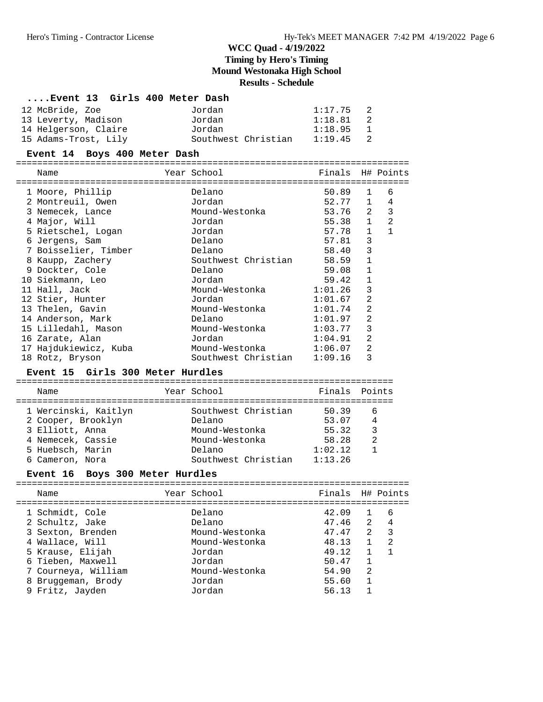#### **....Event 13 Girls 400 Meter Dash**

| 12 McBride, Zoe      | Jordan              | 1:17.75 | $\overline{2}$ |
|----------------------|---------------------|---------|----------------|
| 13 Leverty, Madison  | Jordan              | 1:18.81 | 2              |
| 14 Helgerson, Claire | Jordan              | 1:18.95 | $\mathbf{1}$   |
| 15 Adams-Trost, Lily | Southwest Christian | 1:19.45 | 2              |

#### **Event 14 Boys 400 Meter Dash**

==========================================================================

|   | Name                  | Year School            | Finals H# Points |                |              |
|---|-----------------------|------------------------|------------------|----------------|--------------|
|   | 1 Moore, Phillip      | Delano                 | 50.89            | $\mathbf{1}$   | 6            |
|   | 2 Montreuil, Owen     | Jordan                 | 52.77 1          |                | 4            |
|   | 3 Nemecek, Lance      | Mound-Westonka         | 53.76            | 2              | 3            |
|   | 4 Major, Will         | Jordan                 | 55.38            | $\mathbf{1}$   | 2            |
|   | 5 Rietschel, Logan    | Jordan                 | 57.78            | $\mathbf{1}$   | $\mathbf{1}$ |
|   | 6 Jergens, Sam        | Delano                 | 57.81            | 3              |              |
|   | 7 Boisselier, Timber  | Delano                 | 58.40            | 3              |              |
| 8 | Kaupp, Zachery        | Southwest Christian    | 58.59            | $\mathbf{1}$   |              |
|   | 9 Dockter, Cole       | Delano                 | 59.08            | $\mathbf{1}$   |              |
|   | 10 Siekmann, Leo      | Jordan                 | 59.42            | $\mathbf{1}$   |              |
|   | 11 Hall, Jack         | Mound-Westonka         | 1:01.26          | 3              |              |
|   | 12 Stier, Hunter      | Jordan                 | 1:01.67          | 2              |              |
|   | 13 Thelen, Gavin      | Mound-Westonka         | 1:01.74          | 2              |              |
|   | 14 Anderson, Mark     | Delano                 | 1:01.97          | $\mathfrak{D}$ |              |
|   | 15 Lilledahl, Mason   | Mound-Westonka         | 1:03.77          | 3              |              |
|   | 16 Zarate, Alan       | Jordan                 | 1:04.91          | 2              |              |
|   | 17 Hajdukiewicz, Kuba | Mound-Westonka 1:06.07 |                  | $\mathfrak{D}$ |              |
|   | 18 Rotz, Bryson       | Southwest Christian    | 1:09.16          | 3              |              |

#### **Event 15 Girls 300 Meter Hurdles**

| Name                                                                                                                      | Year School                                                                                        | Finals Points                                          |                                |
|---------------------------------------------------------------------------------------------------------------------------|----------------------------------------------------------------------------------------------------|--------------------------------------------------------|--------------------------------|
| 1 Wercinski, Kaitlyn<br>2 Cooper, Brooklyn<br>3 Elliott, Anna<br>4 Nemecek, Cassie<br>5 Huebsch, Marin<br>6 Cameron, Nora | Southwest Christian<br>Delano<br>Mound-Westonka<br>Mound-Westonka<br>Delano<br>Southwest Christian | 50.39<br>53.07<br>55.32<br>58.28<br>1:02.12<br>1:13.26 | -6<br>$\overline{4}$<br>3<br>2 |
|                                                                                                                           |                                                                                                    |                                                        |                                |

### **Event 16 Boys 300 Meter Hurdles**

| Name                                                                                                                                                                                | Year School                                                                                                    | Finals H# Points                                                              |                                                                                   |                               |
|-------------------------------------------------------------------------------------------------------------------------------------------------------------------------------------|----------------------------------------------------------------------------------------------------------------|-------------------------------------------------------------------------------|-----------------------------------------------------------------------------------|-------------------------------|
| 1 Schmidt, Cole<br>2 Schultz, Jake<br>3 Sexton, Brenden<br>4 Wallace, Will<br>5 Krause, Elijah<br>6 Tieben, Maxwell<br>7 Courneya, William<br>8 Bruggeman, Brody<br>9 Fritz, Jayden | Delano<br>Delano<br>Mound-Westonka<br>Mound-Westonka<br>Jordan<br>Jordan<br>Mound-Westonka<br>Jordan<br>Jordan | 42.09<br>47.46<br>47.47<br>48.13<br>49.12<br>50.47<br>54.90<br>55.60<br>56.13 | $\overline{2}$<br>$2^{\circ}$<br>$\mathbf{1}$<br>$\overline{1}$<br>$\mathfrak{D}$ | -6<br>4<br>$\mathcal{R}$<br>2 |
|                                                                                                                                                                                     |                                                                                                                |                                                                               |                                                                                   |                               |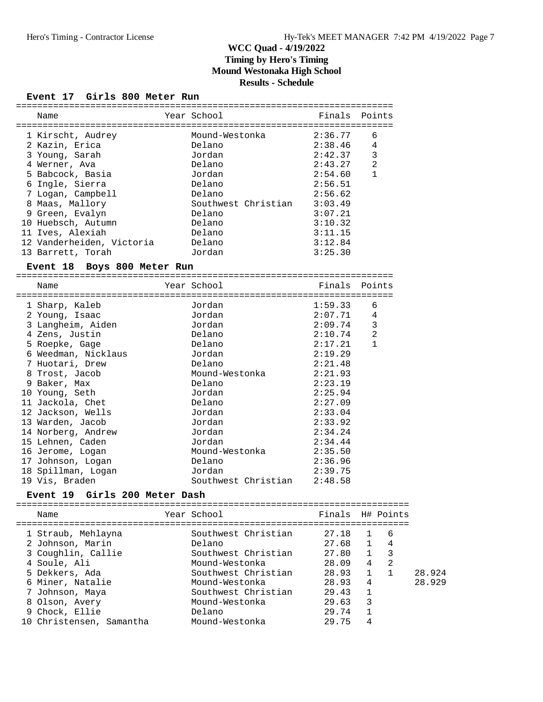#### **Event 17 Girls 800 Meter Run**

| Name                                    | Year School                 | Finals        | Points                      |        |
|-----------------------------------------|-----------------------------|---------------|-----------------------------|--------|
| 1 Kirscht, Audrey                       | Mound-Westonka              | 2:36.77       | 6                           |        |
| 2 Kazin, Erica                          | Delano                      | 2:38.46       | 4                           |        |
| 3 Young, Sarah                          | Jordan                      | 2:42.37       | 3                           |        |
| 4 Werner, Ava                           | Delano                      | 2:43.27       | $\overline{2}$              |        |
| 5 Babcock, Basia                        | Jordan                      | 2:54.60       | $\mathbf{1}$                |        |
| 6 Ingle, Sierra                         | Delano                      | 2:56.51       |                             |        |
| 7 Logan, Campbell                       | Delano                      | 2:56.62       |                             |        |
| 8 Maas, Mallory                         | Southwest Christian 3:03.49 |               |                             |        |
| 9 Green, Evalyn                         | Delano                      | 3:07.21       |                             |        |
| 10 Huebsch, Autumn                      | Delano                      | 3:10.32       |                             |        |
| 11 Ives, Alexiah                        | Delano                      | 3:11.15       |                             |        |
| 12 Vanderheiden, Victoria               | Delano                      | 3:12.84       |                             |        |
| 13 Barrett, Torah                       | Jordan                      | 3:25.30       |                             |        |
| Boys 800 Meter Run<br><b>Event 18</b>   |                             |               |                             |        |
|                                         |                             |               |                             |        |
| Name                                    | Year School                 | Finals Points |                             |        |
| 1 Sharp, Kaleb                          | Jordan                      | 1:59.33       | 6                           |        |
| 2 Young, Isaac                          | Jordan                      | 2:07.71       | 4                           |        |
| 3 Langheim, Aiden                       | Jordan                      | 2:09.74       | 3                           |        |
| 4 Zens, Justin                          | Delano                      | 2:10.74       | $\overline{2}$              |        |
| 5 Roepke, Gage                          | Delano                      | 2:17.21       | $\mathbf{1}$                |        |
| 6 Weedman, Nicklaus                     | Jordan                      | 2:19.29       |                             |        |
| 7 Huotari, Drew                         | Delano                      | 2:21.48       |                             |        |
| 8 Trost, Jacob                          | Mound-Westonka              | 2:21.93       |                             |        |
| 9 Baker, Max                            | Delano                      | 2:23.19       |                             |        |
| 10 Young, Seth                          | Jordan                      | 2:25.94       |                             |        |
| 11 Jackola, Chet                        | Delano                      | 2:27.09       |                             |        |
| 12 Jackson, Wells                       | Jordan                      | 2:33.04       |                             |        |
| 13 Warden, Jacob                        | Jordan                      | 2:33.92       |                             |        |
| 14 Norberg, Andrew                      | Jordan                      | 2:34.24       |                             |        |
| 15 Lehnen, Caden                        | Jordan                      | 2:34.44       |                             |        |
| 16 Jerome, Logan                        | Mound-Westonka              | 2:35.50       |                             |        |
| 17 Johnson, Logan                       | Delano                      | 2:36.96       |                             |        |
| 18 Spillman, Logan                      | Jordan                      | 2:39.75       |                             |        |
| 19 Vis, Braden                          | Southwest Christian         | 2:48.58       |                             |        |
| Girls 200 Meter Dash<br><b>Event 19</b> |                             |               |                             |        |
|                                         | Year School                 | Finals        | H# Points                   |        |
| Name                                    |                             | ==========    |                             |        |
| 1 Straub, Mehlayna                      | Southwest Christian         | 27.18         | 6<br>1                      |        |
| 2 Johnson, Marin                        | Delano                      | 27.68         | 4<br>1                      |        |
| 3 Coughlin, Callie                      | Southwest Christian         | 27.80         | 3<br>1                      |        |
| 4 Soule, Ali                            | Mound-Westonka              | 28.09         | $\overline{2}$<br>4         |        |
| 5 Dekkers, Ada                          | Southwest Christian         | 28.93         | $\mathbf{1}$<br>$\mathbf 1$ | 28.924 |
| 6 Miner, Natalie                        | Mound-Westonka              | 28.93         | 4                           | 28.929 |
| 7 Johnson, Maya                         | Southwest Christian         | 29.43         | $\mathbf 1$                 |        |
| 8 Olson, Avery                          | Mound-Westonka              | 29.63         | 3                           |        |
| 9 Chock, Ellie                          | Delano                      | 29.74         | $\mathbf 1$                 |        |
| 10 Christensen, Samantha                | Mound-Westonka              | 29.75         | 4                           |        |

=======================================================================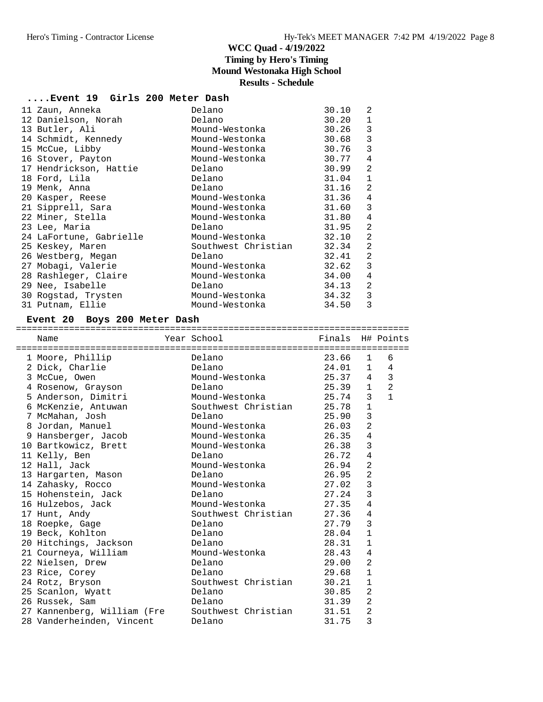#### **....Event 19 Girls 200 Meter Dash**

| 11 Zaun, Anneka         | Delano              | 30.10 | 2            |
|-------------------------|---------------------|-------|--------------|
| 12 Danielson, Norah     | Delano              | 30.20 | $\mathbf{1}$ |
| 13 Butler, Ali          | Mound-Westonka      | 30.26 | 3            |
| 14 Schmidt, Kennedy     | Mound-Westonka      | 30.68 | 3            |
| 15 McCue, Libby         | Mound-Westonka      | 30.76 | 3            |
| 16 Stover, Payton       | Mound-Westonka      | 30.77 | 4            |
| 17 Hendrickson, Hattie  | Delano              | 30.99 | 2            |
| 18 Ford, Lila           | Delano              | 31.04 | $\mathbf{1}$ |
| 19 Menk, Anna           | Delano              | 31.16 | 2            |
| 20 Kasper, Reese        | Mound-Westonka      | 31.36 | 4            |
| 21 Sipprell, Sara       | Mound-Westonka      | 31.60 | 3            |
| 22 Miner, Stella        | Mound-Westonka      | 31.80 | 4            |
| 23 Lee, Maria           | Delano              | 31.95 | 2            |
| 24 LaFortune, Gabrielle | Mound-Westonka      | 32.10 | 2            |
| 25 Keskey, Maren        | Southwest Christian | 32.34 | 2            |
| 26 Westberg, Megan      | Delano              | 32.41 | 2            |
| 27 Mobagi, Valerie      | Mound-Westonka      | 32.62 | 3            |
| 28 Rashleger, Claire    | Mound-Westonka      | 34.00 | 4            |
| 29 Nee, Isabelle        | Delano              | 34.13 | 2            |
| 30 Rogstad, Trysten     | Mound-Westonka      | 34.32 | 3            |
| 31 Putnam, Ellie        | Mound-Westonka      | 34.50 | 3            |

#### **Event 20 Boys 200 Meter Dash**

==========================================================================

| Name                        | Year School         | Finals H# Points |                 |                |
|-----------------------------|---------------------|------------------|-----------------|----------------|
| 1 Moore, Phillip            | Delano              | 23.66            | 1               | 6              |
| 2 Dick, Charlie             | Delano              | 24.01            | 1               | 4              |
| 3 McCue, Owen               | Mound-Westonka      | 25.37            | $4\overline{ }$ | 3              |
| 4 Rosenow, Grayson          | Delano              | 25.39 1          |                 | $\overline{a}$ |
| 5 Anderson, Dimitri         | Mound-Westonka      | 25.74            | 3               | $\mathbf{1}$   |
| 6 McKenzie, Antuwan         | Southwest Christian | 25.78            | $1\,$           |                |
| 7 McMahan, Josh             | Delano              | 25.90            | 3               |                |
| 8 Jordan, Manuel            | Mound-Westonka      | 26.03            | $\overline{2}$  |                |
| 9 Hansberger, Jacob         | Mound-Westonka      | 26.35            | 4               |                |
| 10 Bartkowicz, Brett        | Mound-Westonka      | 26.38            | 3               |                |
| 11 Kelly, Ben               | Delano              | 26.72            | 4               |                |
| 12 Hall, Jack               | Mound-Westonka      | 26.94            | $\overline{2}$  |                |
| 13 Hargarten, Mason         | Delano              | 26.95            | $\overline{2}$  |                |
| 14 Zahasky, Rocco           | Mound-Westonka      | 27.02            | 3               |                |
| 15 Hohenstein, Jack         | Delano              | 27.24            | 3               |                |
| 16 Hulzebos, Jack           | Mound-Westonka      | 27.35            | 4               |                |
| 17 Hunt, Andy               | Southwest Christian | 27.36            | 4               |                |
| 18 Roepke, Gage             | Delano              | 27.79            | 3               |                |
| 19 Beck, Kohlton            | Delano              | 28.04            | $\mathbf{1}$    |                |
| 20 Hitchings, Jackson       | Delano              | 28.31            | $\mathbf 1$     |                |
| 21 Courneya, William        | Mound-Westonka      | 28.43            | $\overline{4}$  |                |
| 22 Nielsen, Drew            | Delano              | 29.00            | $\overline{2}$  |                |
| 23 Rice, Corey              | Delano              | 29.68            | $\mathbf 1$     |                |
| 24 Rotz, Bryson             | Southwest Christian | 30.21            | $\mathbf 1$     |                |
| 25 Scanlon, Wyatt           | Delano              | 30.85            | $\overline{2}$  |                |
| 26 Russek, Sam              | Delano              | 31.39            | $\overline{2}$  |                |
| 27 Kannenberg, William (Fre | Southwest Christian | 31.51            | $\overline{2}$  |                |
| 28 Vanderheinden, Vincent   | Delano              | 31.75            | 3               |                |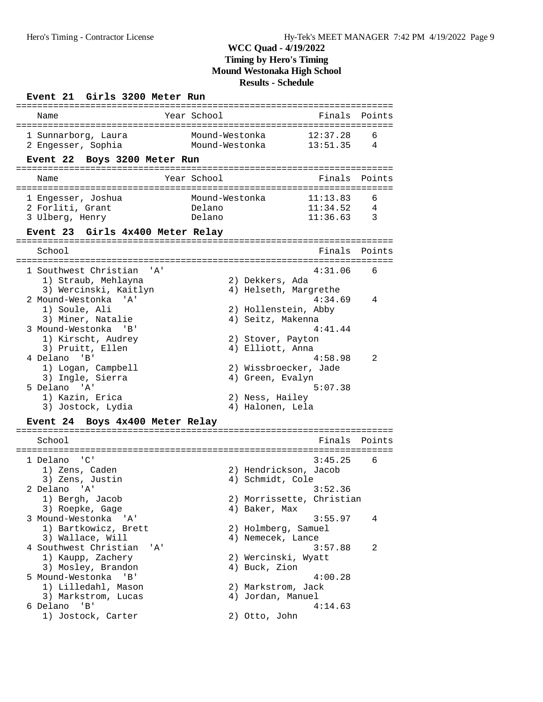#### **Event 21 Girls 3200 Meter Run** ======================================================================= Name Year School ======================================================================= 1 Sunnarborg, Laura Mound-Westonka 12:37.28 6 2 Engesser, Sophia Mound-Westonka 13:51.35 4 **Event 22 Boys 3200 Meter Run** ======================================================================= Name The Year School The Finals Points ======================================================================= 1 Engesser, Joshua Mound-Westonka 11:13.83 6<br>2 Forliti, Grant Delano 11:34.52 4 2 Forliti, Grant Delano 11:34.52 4 3 Ulberg, Henry Delano 11:36.63 3 **Event 23 Girls 4x400 Meter Relay** ======================================================================= School **Finals Points** ======================================================================= 1 Southwest Christian 'A' 4:31.06 6 1) Straub, Mehlayna 2) Dekkers, Ada 3) Wercinski, Kaitlyn 4) Helseth, Margrethe 2 Mound-Westonka 'A' 4:34.69 4 1) Soule, Ali 2) Hollenstein, Abby 3) Miner, Natalie 1988 (1988) Seitz, Makenna 1) Soule, Ali (2) Hollenstein, Abby<br>3) Miner, Natalie (4) Seitz, Makenna<br>3) Mound-Westonka 'B' (4:41.44) 1) Kirscht, Audrey 2) Stover, Payton 3) Pruitt, Ellen (4) Elliott, Anna 4 Delano 'B' 4:58.98 2 1) Logan, Campbell 2) Wissbroecker, Jade 3) Ingle, Sierra (1988) 4) Green, Evalyn 5 Delano 'A' 5:07.38 1) Kazin, Erica 2) Ness, Hailey 3) Jostock, Lydia 4) Halonen, Lela **Event 24 Boys 4x400 Meter Relay** ======================================================================= School **Finals Points** ======================================================================= 1 Delano 'C' 3:45.25 6 1) Zens, Caden 2) Hendrickson, Jacob 3) Zens, Justin 4) Schmidt, Cole 2 Delano 'A' 3:52.36 1) Bergh, Jacob 2) Morrissette, Christian 3) Roepke, Gage  $4)$  Baker, Max 3 Mound-Westonka 'A' 3:55.97 4 1) Bartkowicz, Brett 2) Holmberg, Samuel 3) Wallace, Will 4) Nemecek, Lance 4 Southwest Christian 'A' 3:57.88 2 1) Kaupp, Zachery 2) Wercinski, Wyatt<br>3) Mosley, Brandon 3) Auck, Zion 3) Mosley, Brandon 5 Mound-Westonka 'B' 4:00.28 1) Lilledahl, Mason (2) Markstrom, Jack<br>3) Markstrom, Lucas (2) 4) Jordan, Manuel 3) Markstrom, Lucas 6 Delano 'B' 4:14.63 1) Jostock, Carter 2) Otto, John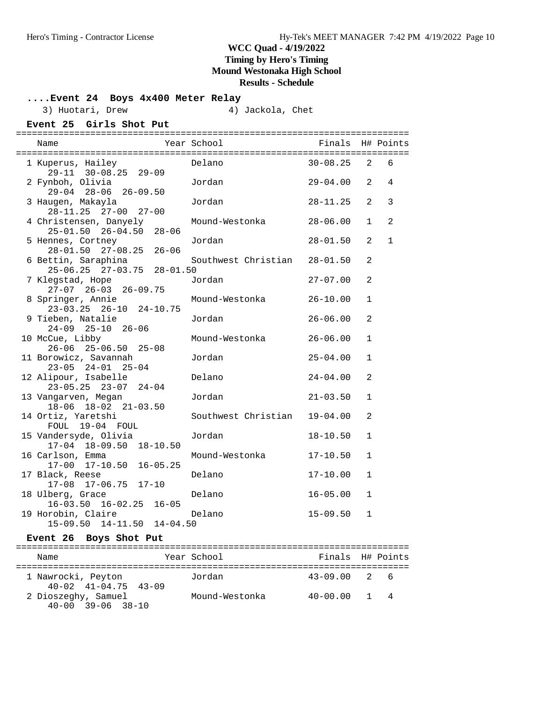## **....Event 24 Boys 4x400 Meter Relay**

3) Huotari, Drew (4) Jackola, Chet

| Event 25 Girls Shot Put |  |  |  |
|-------------------------|--|--|--|
|-------------------------|--|--|--|

| $-$ | $-$<br>$-$ | <u>--------</u><br>$-$ | - - | . . | -----<br>$\sim$ | $\sim$ |
|-----|------------|------------------------|-----|-----|-----------------|--------|
|     |            |                        |     |     |                 |        |
|     |            |                        |     |     |                 |        |
|     |            |                        |     |     |                 |        |

| 1 Kuperus, Hailey                                                                 |                              | $30 - 08.25$ 2               |                              | 6            |
|-----------------------------------------------------------------------------------|------------------------------|------------------------------|------------------------------|--------------|
| 2 Fynboh, Olivia<br>29-04 28-06 26-09.50                                          | Jordan                       | $29-04.00$ 2 4               |                              |              |
| 3 Haugen, Makayla<br>28-11.25 27-00 27-00                                         | Jordan                       | $28 - 11.25$                 | 2                            | 3            |
| 4 Christensen, Danyely Mound-Westonka<br>$25 - 01.50$ $26 - 04.50$ $28 - 06$      |                              | 28-06.00                     | $\mathbf{1}$                 | 2            |
| 5 Hennes, Cortney<br>28-01.50 27-08.25 26-06                                      | Jordan                       | $28 - 01.50$                 | 2                            | $\mathbf{1}$ |
| 6 Bettin, Saraphina<br>25-06.25 27-03.75 28-01.50                                 | Southwest Christian 28-01.50 |                              | 2                            |              |
| 7 Klegstad, Hope<br>$27-07$ $26-03$ $26-09.75$                                    | Jordan                       | $27 - 07.00$                 | 2                            |              |
| 8 Springer, Annie<br>$23-03.25$ $26-10$ $24-10.75$                                | Mound-Westonka               | $26 - 10.00$                 | $\mathbf{1}$                 |              |
| 9 Tieben, Natalie<br>24-09 25-10 26-06                                            | Jordan                       | $26 - 06.00$                 | 2                            |              |
| 10 McCue, Libby<br>$26-06$ $25-06.50$ $25-08$<br>11 Borowicz, Savannah            | Mound-Westonka<br>Jordan     | $26 - 06.00$<br>$25 - 04.00$ | $\mathbf{1}$<br>$\mathbf{1}$ |              |
| $23-05$ $24-01$ $25-04$<br>12 Alipour, Isabelle                                   | Delano                       | $24 - 04.00$                 | 2                            |              |
| $23 - 05.25$ $23 - 07$ $24 - 04$<br>13 Vangarven, Megan                           | Jordan                       | 21-03.50                     | $\mathbf{1}$                 |              |
| 18-06 18-02 21-03.50<br>14 Ortiz, Yaretshi                                        | Southwest Christian 19-04.00 |                              | 2                            |              |
| FOUL 19-04 FOUL<br>15 Vandersyde, Olivia                                          | Jordan                       | $18 - 10.50$                 | $\mathbf{1}$                 |              |
| 17-04 18-09.50 18-10.50<br>16 Carlson, Emma<br>17-00 17-10.50 16-05.25            | Mound-Westonka               | $17 - 10.50$                 | $\mathbf{1}$                 |              |
| 17 Black, Reese                                                                   | Delano                       | $17 - 10.00$                 | $\mathbf{1}$                 |              |
| 17-08 17-06.75 17-10<br>18 Ulberg, Grace                                          | Delano                       | $16 - 05.00$                 | $\mathbf{1}$                 |              |
| $16-03.50$ $16-02.25$ $16-05$<br>19 Horobin, Claire<br>15-09.50 14-11.50 14-04.50 | Delano                       | $15 - 09.50$                 | $\mathbf{1}$                 |              |
| Event 26 Boys Shot Put                                                            |                              |                              |                              |              |

| Name                                                       | Year School    | Finals H# Points |             |  |
|------------------------------------------------------------|----------------|------------------|-------------|--|
| 1 Nawrocki, Peyton<br>$40 - 02$ $41 - 04$ , $75$ $43 - 09$ | Jordan         | $43 - 09.00$ 2 6 |             |  |
| 2 Dioszeghy, Samuel<br>$40 - 00$ $39 - 06$ $38 - 10$       | Mound-Westonka | $40 - 00.00$     | $1 \quad 4$ |  |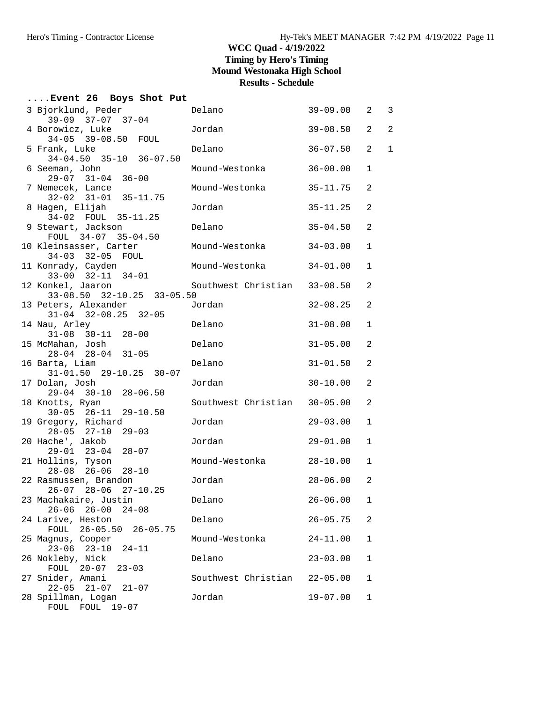| Event 26 Boys Shot Put                                       |                              |              |                |                |
|--------------------------------------------------------------|------------------------------|--------------|----------------|----------------|
| 3 Bjorklund, Peder<br>39-09 37-07 37-04                      | Delano                       | 39-09.00     | 2              | 3              |
| 4 Borowicz, Luke<br>34-05 39-08.50 FOUL                      | Jordan                       | $39 - 08.50$ | $\overline{a}$ | $\overline{a}$ |
| 5 Frank, Luke<br>$34-04.50$ $35-10$ $36-07.50$               | Delano                       | $36 - 07.50$ | $\overline{2}$ | 1              |
| 6 Seeman, John<br>29-07 31-04 36-00                          | Mound-Westonka               | $36 - 00.00$ | 1              |                |
| 7 Nemecek, Lance<br>32-02 31-01 35-11.75                     | Mound-Westonka               | $35 - 11.75$ | 2              |                |
| 8 Hagen, Elijah<br>34-02 FOUL 35-11.25                       | Jordan                       | $35 - 11.25$ | 2              |                |
| 9 Stewart, Jackson<br>FOUL 34-07 35-04.50                    | Delano                       | $35 - 04.50$ | 2              |                |
| 10 Kleinsasser, Carter<br>34-03 32-05 FOUL                   | Mound-Westonka               | $34 - 03.00$ | 1              |                |
| 11 Konrady, Cayden<br>$33-00$ $32-11$ $34-01$                | Mound-Westonka               | $34 - 01.00$ | 1              |                |
| 12 Konkel, Jaaron<br>33-08.50 32-10.25 33-05.50              | Southwest Christian 33-08.50 |              | 2              |                |
| 13 Peters, Alexander<br>$31-04$ $32-08.25$ $32-05$           | Jordan                       | $32 - 08.25$ | 2              |                |
| 14 Nau, Arley<br>$31-08$ $30-11$ $28-00$                     | Delano                       | $31 - 08.00$ | $\mathbf 1$    |                |
| 15 McMahan, Josh<br>$28-04$ $28-04$ $31-05$                  | Delano                       | $31 - 05.00$ | 2              |                |
| 16 Barta, Liam<br>$31 - 01.50$ $29 - 10.25$ $30 - 07$        | Delano                       | $31 - 01.50$ | 2              |                |
| 17 Dolan, Josh<br>29-04 30-10 28-06.50                       | Jordan                       | $30 - 10.00$ | 2              |                |
| 18 Knotts, Ryan<br>$30-05$ $26-11$ $29-10.50$                | Southwest Christian          | $30 - 05.00$ | 2              |                |
| 19 Gregory, Richard<br>$28-05$ $27-10$ $29-03$               | Jordan                       | $29 - 03.00$ | 1              |                |
| 20 Hache', Jakob<br>$29 - 01$ $23 - 04$ $28 - 07$            | Jordan                       | $29 - 01.00$ | $\mathbf 1$    |                |
| 21 Hollins, Tyson<br>$28-08$ $26-06$ $28-10$                 | Mound-Westonka               | $28 - 10.00$ | $\mathbf{1}$   |                |
| 22 Rasmussen, Brandon<br>26-07 28-06 27-10.25                | Jordan                       | $28 - 06.00$ | 2              |                |
| 23 Machakaire, Justin<br>$26 - 00$<br>$26 - 06$<br>$24 - 08$ | Delano                       | $26 - 06.00$ | 1              |                |
| 24 Larive, Heston<br>FOUL<br>$26 - 05.50$<br>$26 - 05.75$    | Delano                       | $26 - 05.75$ | 2              |                |
| 25 Magnus, Cooper<br>$23 - 06$ $23 - 10$<br>$24 - 11$        | Mound-Westonka               | $24 - 11.00$ | 1              |                |
| 26 Nokleby, Nick<br>FOUL 20-07<br>$23 - 03$                  | Delano                       | $23 - 03.00$ | 1              |                |
| 27 Snider, Amani<br>$22 - 05$ $21 - 07$<br>$21 - 07$         | Southwest Christian          | $22 - 05.00$ | 1              |                |
| 28 Spillman, Logan<br>$19 - 07$<br>FOUL FOUL                 | Jordan                       | $19 - 07.00$ | 1              |                |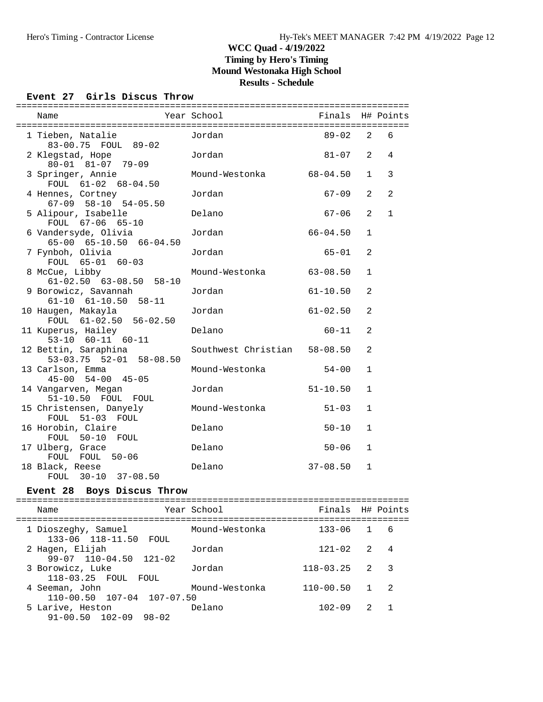#### **Event 27 Girls Discus Throw**

| Name                                               | Year School                  | Finals H# Points |                |              |
|----------------------------------------------------|------------------------------|------------------|----------------|--------------|
|                                                    |                              |                  |                |              |
| 1 Tieben, Natalie<br>83-00.75 FOUL 89-02           | Jordan                       | 89-02            | $\overline{2}$ | 6            |
| 2 Klegstad, Hope<br>80-01 81-07 79-09              | Jordan                       | $81 - 07$        | $\overline{2}$ | 4            |
| 3 Springer, Annie<br>FOUL 61-02 68-04.50           | Mound-Westonka               | $68 - 04.50$     | $\mathbf{1}$   | 3            |
| 4 Hennes, Cortney<br>$67-09$ $58-10$ $54-05.50$    | Jordan                       | $67 - 09$        | 2              | 2            |
| 5 Alipour, Isabelle<br>FOUL 67-06 65-10            | Delano                       | $67 - 06$        | 2              | $\mathbf{1}$ |
| 6 Vandersyde, Olivia<br>65-00 65-10.50 66-04.50    | Jordan                       | $66 - 04.50$     | $\mathbf{1}$   |              |
| 7 Fynboh, Olivia<br>FOUL 65-01 60-03               | Jordan                       | $65 - 01$        | 2              |              |
| 8 McCue, Libby<br>$61-02.50$ $63-08.50$ $58-10$    | Mound-Westonka               | $63 - 08.50$     | $\mathbf{1}$   |              |
| 9 Borowicz, Savannah<br>$61-10$ $61-10.50$ $58-11$ | Jordan                       | $61 - 10.50$     | $\mathfrak{D}$ |              |
| 10 Haugen, Makayla<br>FOUL 61-02.50 56-02.50       | Jordan                       | $61 - 02.50$     | 2              |              |
| 11 Kuperus, Hailey<br>$53-10$ $60-11$ $60-11$      | Delano                       | $60 - 11$        | 2              |              |
| 12 Bettin, Saraphina<br>53-03.75 52-01 58-08.50    | Southwest Christian 58-08.50 |                  | 2              |              |
| 13 Carlson, Emma<br>$45 - 00$ $54 - 00$ $45 - 05$  | Mound-Westonka               | $54 - 00$        | $\mathbf{1}$   |              |
| 14 Vangarven, Megan<br>51-10.50 FOUL FOUL          | Jordan                       | $51 - 10.50$     | $\mathbf{1}$   |              |
| 15 Christensen, Danyely<br>FOUL 51-03 FOUL         | Mound-Westonka               | $51 - 03$        | $\mathbf{1}$   |              |
| 16 Horobin, Claire<br>FOUL 50-10 FOUL              | Delano                       | $50 - 10$        | $\mathbf{1}$   |              |
| 17 Ulberg, Grace<br>FOUL FOUL 50-06                | Delano                       | $50 - 06$        | $\mathbf{1}$   |              |
| 18 Black, Reese<br>FOUL 30-10 37-08.50             | Delano                       | $37 - 08.50$     | $\mathbf{1}$   |              |
|                                                    |                              |                  |                |              |

#### **Event 28 Boys Discus Throw**

========================================================================== Name The Year School Contract Pinals H# Points ========================================================================== 1 Dioszeghy, Samuel Mound-Westonka 133-06 1 6 133-06 118-11.50 FOUL 2 Hagen, Elijah Jordan 121-02 2 4 99-07 110-04.50 121-02 3 Borowicz, Luke Jordan 118-03.25 2 3 118-03.25 FOUL FOUL 4 Seeman, John Mound-Westonka 110-00.50 1 2 110-00.50 107-04 107-07.50 5 Larive, Heston Delano 102-09 2 1 91-00.50 102-09 98-02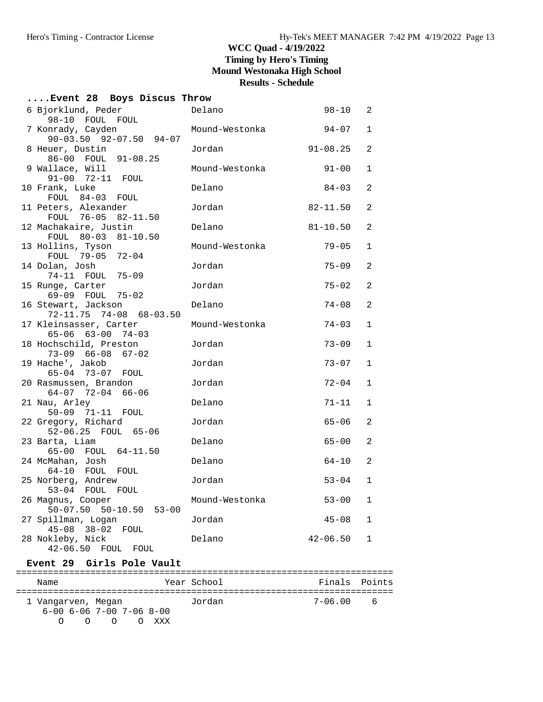| Event 28 Boys Discus Throw                         |                |              |                |
|----------------------------------------------------|----------------|--------------|----------------|
| 6 Bjorklund, Peder                                 | Delano         | $98 - 10$    | 2              |
| 98-10 FOUL FOUL<br>7 Konrady, Cayden               | Mound-Westonka | $94 - 07$    | $\mathbf 1$    |
| $90-03.50$ $92-07.50$ $94-07$                      |                |              |                |
| 8 Heuer, Dustin<br>86-00 FOUL 91-08.25             | Jordan         | $91 - 08.25$ | $\overline{a}$ |
| 9 Wallace, Will<br>91-00 72-11 FOUL                | Mound-Westonka | $91 - 00$    | 1              |
| 10 Frank, Luke<br>FOUL 84-03 FOUL                  | Delano         | $84 - 03$    | $\overline{2}$ |
| 11 Peters, Alexander<br>FOUL 76-05 82-11.50        | Jordan         | $82 - 11.50$ | $\overline{a}$ |
| 12 Machakaire, Justin<br>FOUL 80-03 81-10.50       | Delano         | $81 - 10.50$ | 2              |
| 13 Hollins, Tyson<br>FOUL 79-05 72-04              | Mound-Westonka | $79 - 05$    | 1              |
| 14 Dolan, Josh<br>74-11 FOUL 75-09                 | Jordan         | $75 - 09$    | $\overline{a}$ |
| 15 Runge, Carter<br>69-09 FOUL 75-02               | Jordan         | $75 - 02$    | $\overline{a}$ |
| 16 Stewart, Jackson<br>72-11.75 74-08 68-03.50     | Delano         | $74 - 08$    | $\overline{a}$ |
| 17 Kleinsasser, Carter<br>65-06 63-00 74-03        | Mound-Westonka | $74 - 03$    | 1              |
| 18 Hochschild, Preston<br>73-09 66-08<br>$67 - 02$ | Jordan         | $73 - 09$    | 1              |
| 19 Hache', Jakob<br>65-04 73-07 FOUL               | Jordan         | $73 - 07$    | $\mathbf{1}$   |
| 20 Rasmussen, Brandon<br>$64-07$ 72-04 66-06       | Jordan         | $72 - 04$    | $\mathbf{1}$   |
| 21 Nau, Arley<br>$50 - 09$ $71 - 11$<br>FOUL       | Delano         | $71 - 11$    | 1              |
| 22 Gregory, Richard<br>52-06.25 FOUL 65-06         | Jordan         | $65 - 06$    | 2              |
| 23 Barta, Liam<br>65-00 FOUL 64-11.50              | Delano         | $65 - 00$    | $\overline{a}$ |
| 24 McMahan, Josh<br>64-10 FOUL<br>FOUL             | Delano         | $64 - 10$    | $\overline{a}$ |
| 25 Norberg, Andrew<br>53-04 FOUL FOUL              | Jordan         | $53 - 04$    | 1              |
| 26 Magnus, Cooper<br>50-07.50 50-10.50 53-00       | Mound-Westonka | $53 - 00$    | 1              |
| 27 Spillman, Logan<br>45-08 38-02 FOUL             | Jordan         | $45 - 08$    | 1              |
| 28 Nokleby, Nick<br>$42 - 06.50$<br>FOUL<br>FOUL   | Delano         | $42 - 06.50$ | $\mathbf 1$    |
|                                                    |                |              |                |

### **Event 29 Girls Pole Vault**

| Name               |                                    | Year School | Finals Points |     |
|--------------------|------------------------------------|-------------|---------------|-----|
| 1 Vangarven, Megan |                                    | Jordan      | 7-06.00       | - 6 |
|                    | $6-00$ $6-06$ $7-00$ $7-06$ $8-00$ |             |               |     |
| ∩<br>∩             | $\cap$<br>$\left( \right)$         | <b>XXX</b>  |               |     |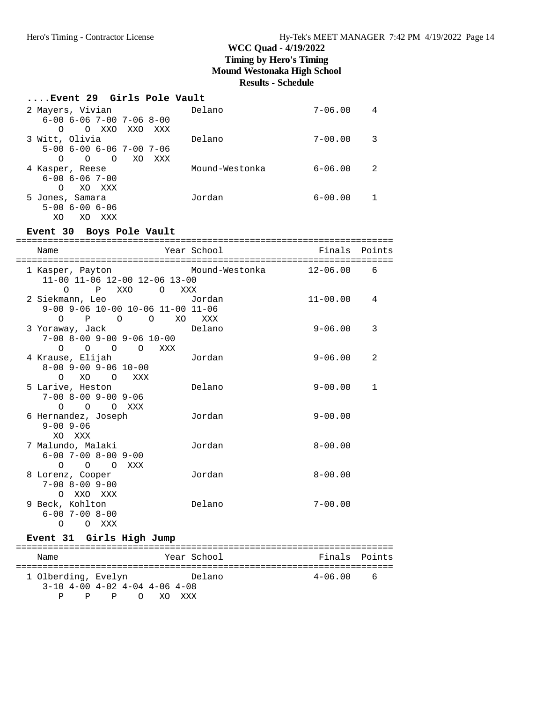#### **....Event 29 Girls Pole Vault**

| 2 Mayers, Vivian                       | Delano         | $7 - 06.00$ | 4    |
|----------------------------------------|----------------|-------------|------|
| $6-00$ $6-06$ $7-00$ $7-06$ $8-00$     |                |             |      |
| XXO<br>XXO<br>$\Omega$<br>XXX<br>O     |                |             |      |
| 3 Witt, Olivia                         | Delano         | $7 - 00.00$ | 3    |
| $5 - 00$ 6 - 00 6 - 06 7 - 00 7 - 06   |                |             |      |
| $\Omega$<br>XO<br>$\Omega$<br>XXX<br>O |                |             |      |
| 4 Kasper, Reese                        | Mound-Westonka | $6 - 06.00$ | - 2. |
| $6 - 00$ $6 - 06$ $7 - 00$             |                |             |      |
| XO XXX<br>$\Omega$                     |                |             |      |
| 5 Jones, Samara                        | Jordan         | $6 - 00.00$ |      |
| $5 - 00$ $6 - 00$ $6 - 06$             |                |             |      |
| XO<br>XXX<br>XO                        |                |             |      |

#### **Event 30 Boys Pole Vault**

| Name                                                                                                               | Year School | Finals Points |              |
|--------------------------------------------------------------------------------------------------------------------|-------------|---------------|--------------|
| 1 Kasper, Payton       Mound-Westonka         12-06.00<br>11-00 11-06 12-00 12-06 13-00<br>P XXO O XXX<br>$\Omega$ |             |               | 6            |
| 2 Siekmann, Leo             Jordan<br>9-00 9-06 10-00 10-06 11-00 11-06<br>O P O O XO XXX                          |             | $11 - 00.00$  | 4            |
| 3 Yoraway, Jack<br>$7-00$ 8-00 9-00 9-06 10-00<br>0 0 0 0 XXX                                                      | Delano      | $9 - 06.00$   | 3            |
| 4 Krause, Elijah<br>$8 - 00$ $9 - 00$ $9 - 06$ $10 - 00$<br>O XO O XXX                                             | Jordan      | $9 - 06.00$   | 2            |
| 5 Larive, Heston<br>$7 - 00$ $8 - 00$ $9 - 00$ $9 - 06$<br>$O$ $O$ $O$ $XXX$                                       | Delano      | $9 - 00.00$   | $\mathbf{1}$ |
| 6 Hernandez, Joseph<br>$9 - 00$ $9 - 06$<br>XO XXX                                                                 | Jordan      | $9 - 00.00$   |              |
| 7 Malundo, Malaki<br>$6 - 00$ 7-00 8-00 9-00<br>$O$ $O$ $O$ $XXX$                                                  | Jordan      | $8 - 00.00$   |              |
| 8 Lorenz, Cooper<br>$7 - 00$ $8 - 00$ $9 - 00$<br>O XXO XXX                                                        | Jordan      | $8 - 00.00$   |              |
| 9 Beck, Kohlton<br>$6 - 00$ 7-00 8-00<br>$\Omega$<br>O XXX                                                         | Delano      | $7 - 00.00$   |              |

# **Event 31 Girls High Jump**

| Name                |    |                                 |  |          | Year School |        |  |  |         | Finals Points |
|---------------------|----|---------------------------------|--|----------|-------------|--------|--|--|---------|---------------|
| 1 Olberding, Evelyn |    |                                 |  |          |             | Delano |  |  | 4-06.00 | - 6           |
|                     |    | $3-10$ 4-00 4-02 4-04 4-06 4-08 |  |          |             |        |  |  |         |               |
| D                   | P. |                                 |  | PO XOXXX |             |        |  |  |         |               |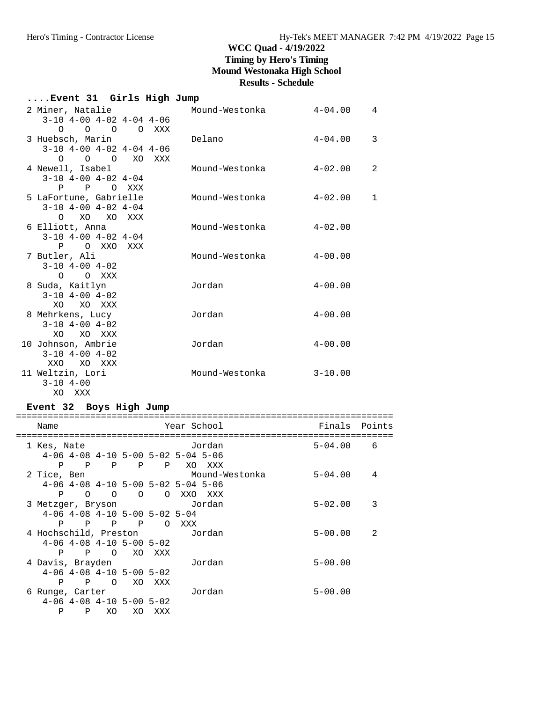|  |                         |                                                                                                                                                                                                                                                                                                                                                    |                                                                                                                                                                                                         | Mound-Westonka                                                                                       | $4 - 04.00$                                                             | $\overline{4}$                                           |
|--|-------------------------|----------------------------------------------------------------------------------------------------------------------------------------------------------------------------------------------------------------------------------------------------------------------------------------------------------------------------------------------------|---------------------------------------------------------------------------------------------------------------------------------------------------------------------------------------------------------|------------------------------------------------------------------------------------------------------|-------------------------------------------------------------------------|----------------------------------------------------------|
|  |                         |                                                                                                                                                                                                                                                                                                                                                    |                                                                                                                                                                                                         |                                                                                                      |                                                                         |                                                          |
|  |                         |                                                                                                                                                                                                                                                                                                                                                    |                                                                                                                                                                                                         | Delano                                                                                               | $4 - 04.00$                                                             | 3                                                        |
|  |                         |                                                                                                                                                                                                                                                                                                                                                    |                                                                                                                                                                                                         |                                                                                                      |                                                                         |                                                          |
|  |                         |                                                                                                                                                                                                                                                                                                                                                    |                                                                                                                                                                                                         | Mound-Westonka                                                                                       | $4 - 02.00$                                                             | $\overline{2}$                                           |
|  |                         |                                                                                                                                                                                                                                                                                                                                                    |                                                                                                                                                                                                         |                                                                                                      |                                                                         |                                                          |
|  |                         |                                                                                                                                                                                                                                                                                                                                                    |                                                                                                                                                                                                         |                                                                                                      |                                                                         | 1                                                        |
|  |                         |                                                                                                                                                                                                                                                                                                                                                    |                                                                                                                                                                                                         |                                                                                                      |                                                                         |                                                          |
|  |                         |                                                                                                                                                                                                                                                                                                                                                    |                                                                                                                                                                                                         |                                                                                                      |                                                                         |                                                          |
|  |                         |                                                                                                                                                                                                                                                                                                                                                    |                                                                                                                                                                                                         |                                                                                                      |                                                                         |                                                          |
|  |                         |                                                                                                                                                                                                                                                                                                                                                    |                                                                                                                                                                                                         |                                                                                                      |                                                                         |                                                          |
|  |                         |                                                                                                                                                                                                                                                                                                                                                    |                                                                                                                                                                                                         | Mound-Westonka                                                                                       | $4 - 00.00$                                                             |                                                          |
|  |                         |                                                                                                                                                                                                                                                                                                                                                    |                                                                                                                                                                                                         |                                                                                                      |                                                                         |                                                          |
|  |                         |                                                                                                                                                                                                                                                                                                                                                    |                                                                                                                                                                                                         | Jordan                                                                                               | $4 - 00.00$                                                             |                                                          |
|  |                         |                                                                                                                                                                                                                                                                                                                                                    |                                                                                                                                                                                                         |                                                                                                      |                                                                         |                                                          |
|  |                         |                                                                                                                                                                                                                                                                                                                                                    |                                                                                                                                                                                                         |                                                                                                      |                                                                         |                                                          |
|  |                         |                                                                                                                                                                                                                                                                                                                                                    |                                                                                                                                                                                                         |                                                                                                      |                                                                         |                                                          |
|  |                         |                                                                                                                                                                                                                                                                                                                                                    |                                                                                                                                                                                                         |                                                                                                      |                                                                         |                                                          |
|  |                         |                                                                                                                                                                                                                                                                                                                                                    |                                                                                                                                                                                                         | Jordan                                                                                               |                                                                         |                                                          |
|  |                         |                                                                                                                                                                                                                                                                                                                                                    |                                                                                                                                                                                                         |                                                                                                      |                                                                         |                                                          |
|  |                         |                                                                                                                                                                                                                                                                                                                                                    |                                                                                                                                                                                                         | Mound-Westonka                                                                                       | $3 - 10.00$                                                             |                                                          |
|  |                         |                                                                                                                                                                                                                                                                                                                                                    |                                                                                                                                                                                                         |                                                                                                      |                                                                         |                                                          |
|  |                         |                                                                                                                                                                                                                                                                                                                                                    |                                                                                                                                                                                                         |                                                                                                      |                                                                         |                                                          |
|  | $3 - 10$ 4-00<br>XO XXX | 2 Miner, Natalie<br>3 Huebsch, Marin<br>4 Newell, Isabel<br>6 Elliott, Anna<br>7 Butler, Ali<br>$3 - 10$ $4 - 00$ $4 - 02$<br>O O XXX<br>8 Suda, Kaitlyn<br>$3 - 10$ $4 - 00$ $4 - 02$<br>XO XO XXX<br>8 Mehrkens, Lucy<br>$3-10$ $4-00$ $4-02$<br>XO XO XXX<br>10 Johnson, Ambrie<br>$3 - 10$ $4 - 00$ $4 - 02$<br>XXO XO XXX<br>11 Weltzin, Lori | $0\qquad 0\qquad 0$<br>$3-10$ 4-00 4-02 4-04<br>P P O XXX<br>5 LaFortune, Gabrielle<br>$3-10$ $4-00$ $4-02$ $4-04$<br>O XO XO XXX<br>$3-10$ $4-00$ $4-02$ $4-04$<br>P O XXO XXX<br>$\pi$ ----- $\theta$ | $3-10$ $4-00$ $4-02$ $4-04$ $4-06$<br>0 0 0 0 XXX<br>$3-10$ $4-00$ $4-02$ $4-04$ $4-06$<br>XO<br>XXX | Event 31  Girls High Jump<br>Mound-Westonka<br>Mound-Westonka<br>Jordan | $4 - 02.00$<br>$4 - 02.00$<br>$4 - 00.00$<br>$4 - 00.00$ |

#### **Event 32 Boys High Jump**

| Name                             |                                                  |                |              |          | Year School |         |                | Finals Points |   |
|----------------------------------|--------------------------------------------------|----------------|--------------|----------|-------------|---------|----------------|---------------|---|
| 1 Kes, Nate                      |                                                  |                |              |          |             | Jordan  |                | $5 - 04.00$   | 6 |
|                                  | $4-06$ $4-08$ $4-10$ $5-00$ $5-02$ $5-04$ $5-06$ |                |              |          |             |         |                |               |   |
| P                                | $\overline{P}$                                   |                | P P P        |          | XO          | XXX     |                |               |   |
| 2 Tice, Ben                      |                                                  |                |              |          |             |         | Mound-Westonka | $5 - 04.00$   | 4 |
|                                  | $4-06$ $4-08$ $4-10$ $5-00$ $5-02$ $5-04$ $5-06$ |                |              |          |             |         |                |               |   |
| P                                | $\circ$                                          | $\overline{O}$ | $\circ$      | $\circ$  |             | XXO XXX |                |               |   |
| 3 Metzger, Bryson                |                                                  |                |              |          |             | Jordan  |                | $5 - 02.00$   | 3 |
|                                  | $4-06$ $4-08$ $4-10$ $5-00$ $5-02$ $5-04$        |                |              |          |             |         |                |               |   |
| P                                | $\mathbf{P}$                                     | $\mathbb{P}$   | $\mathbb{P}$ | $\Omega$ | XXX         |         |                |               |   |
| 4 Hochschild, Preston     Jordan |                                                  |                |              |          |             |         |                | $5 - 00.00$   | 2 |
|                                  | $4-06$ $4-08$ $4-10$ $5-00$ $5-02$               |                |              |          |             |         |                |               |   |
| P                                | $\mathbf{P}$                                     |                | O XO XXX     |          |             |         |                |               |   |
| 4 Davis, Brayden                 |                                                  |                |              |          |             | Jordan  |                | $5 - 00.00$   |   |
|                                  | $4-06$ $4-08$ $4-10$ $5-00$ $5-02$               |                |              |          |             |         |                |               |   |
| P                                | $\mathbf{P}$                                     | $\circ$        | XO           | xxx      |             |         |                |               |   |
| 6 Runge, Carter                  |                                                  |                |              |          |             | Jordan  |                | $5 - 00.00$   |   |
|                                  | $4-06$ $4-08$ $4-10$ $5-00$ $5-02$               |                |              |          |             |         |                |               |   |
| P                                | P                                                | XO             | XO           | xxx      |             |         |                |               |   |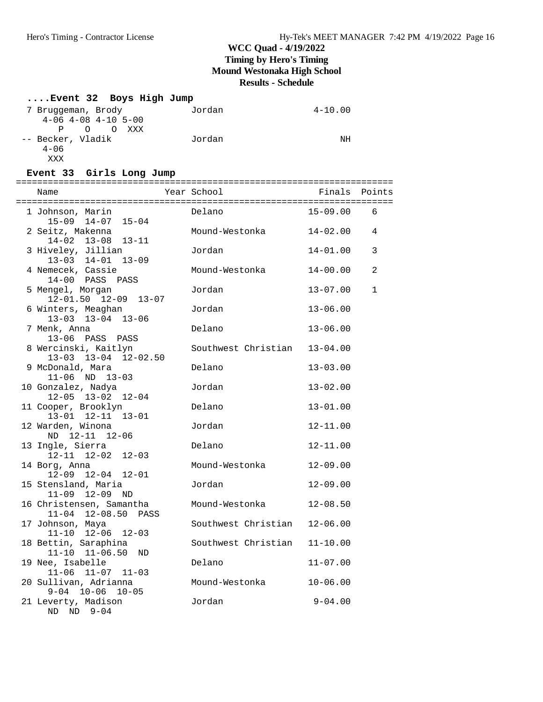## **....Event 32 Boys High Jump**

| 7 Bruggeman, Brody          | Jordan | $4 - 10.00$ |
|-----------------------------|--------|-------------|
| $4-06$ $4-08$ $4-10$ $5-00$ |        |             |
| P O<br>O XXX                |        |             |
| -- Becker, Vladik           | Jordan | NΗ          |
| $4 - 06$                    |        |             |
| <b>XXX</b>                  |        |             |

#### **Event 33 Girls Long Jump**

| Name                                            | Year School         | Finals Points |             |
|-------------------------------------------------|---------------------|---------------|-------------|
| 1 Johnson, Marin<br>15-09 14-07 15-04           | Delano              | $15 - 09.00$  | 6           |
| 2 Seitz, Makenna<br>$14-02$ $13-08$ $13-11$     | Mound-Westonka      | 14-02.00      | 4           |
| 3 Hiveley, Jillian<br>$13-03$ $14-01$ $13-09$   | Jordan              | $14 - 01.00$  | 3           |
| 4 Nemecek, Cassie<br>14-00 PASS PASS            | Mound-Westonka      | $14 - 00.00$  | 2           |
| 5 Mengel, Morgan<br>12-01.50 12-09 13-07        | Jordan              | $13 - 07.00$  | $\mathbf 1$ |
| 6 Winters, Meaghan<br>$13-03$ $13-04$ $13-06$   | Jordan              | $13 - 06.00$  |             |
| 7 Menk, Anna<br>13-06 PASS PASS                 | Delano              | $13 - 06.00$  |             |
| 8 Wercinski, Kaitlyn<br>13-03 13-04 12-02.50    | Southwest Christian | $13 - 04.00$  |             |
| 9 McDonald, Mara<br>$11-06$ ND $13-03$          | Delano              | $13 - 03.00$  |             |
| 10 Gonzalez, Nadya<br>$12-05$ $13-02$ $12-04$   | Jordan              | $13 - 02.00$  |             |
| 11 Cooper, Brooklyn<br>13-01 12-11 13-01        | Delano              | $13 - 01.00$  |             |
| 12 Warden, Winona<br>ND 12-11 12-06             | Jordan              | $12 - 11.00$  |             |
| 13 Ingle, Sierra<br>12-11 12-02 12-03           | Delano              | $12 - 11.00$  |             |
| 14 Borg, Anna<br>12-09 12-04 12-01              | Mound-Westonka      | $12 - 09.00$  |             |
| 15 Stensland, Maria<br>11-09 12-09 ND           | Jordan              | $12 - 09.00$  |             |
| 16 Christensen, Samantha<br>11-04 12-08.50 PASS | Mound-Westonka      | $12 - 08.50$  |             |
| 17 Johnson, Maya<br>$11-10$ $12-06$ $12-03$     | Southwest Christian | $12 - 06.00$  |             |
| 18 Bettin, Saraphina<br>11-10 11-06.50 ND       | Southwest Christian | $11 - 10.00$  |             |
| 19 Nee, Isabelle<br>$11-06$ $11-07$ $11-03$     | Delano              | $11 - 07.00$  |             |
| 20 Sullivan, Adrianna<br>$9-04$ $10-06$ $10-05$ | Mound-Westonka      | $10 - 06.00$  |             |
| 21 Leverty, Madison<br>$ND$ $ND$ $9-04$         | Jordan              | $9 - 04.00$   |             |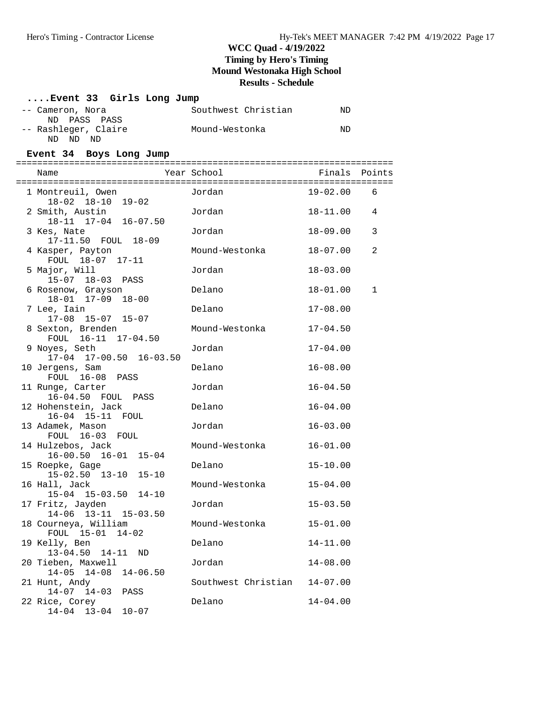| Event 33 Girls Long Jump                                     |                     |              |        |
|--------------------------------------------------------------|---------------------|--------------|--------|
| -- Cameron, Nora                                             | Southwest Christian | ND           |        |
| ND<br>PASS PASS<br>-- Rashleger, Claire<br>ND ND ND          | Mound-Westonka      | ND           |        |
| Event 34 Boys Long Jump                                      |                     |              |        |
| Name                                                         | Year School         | Finals       | Points |
| 1 Montreuil, Owen                                            | Jordan              | $19 - 02.00$ | 6      |
| 18-02 18-10 19-02<br>2 Smith, Austin<br>18-11 17-04 16-07.50 | Jordan              | $18 - 11.00$ | 4      |
| 3 Kes, Nate<br>17-11.50 FOUL 18-09                           | Jordan              | $18 - 09.00$ | 3      |
| 4 Kasper, Payton<br>FOUL 18-07 17-11                         | Mound-Westonka      | $18 - 07.00$ | 2      |
| 5 Major, Will<br>15-07 18-03 PASS                            | Jordan              | $18 - 03.00$ |        |
| 6 Rosenow, Grayson<br>18-01 17-09 18-00                      | Delano              | $18 - 01.00$ | 1      |
| 7 Lee, Iain<br>$17-08$ $15-07$ $15-07$                       | Delano              | $17 - 08.00$ |        |
| 8 Sexton, Brenden<br>FOUL 16-11 17-04.50                     | Mound-Westonka      | $17 - 04.50$ |        |
| 9 Noyes, Seth<br>17-04 17-00.50 16-03.50                     | Jordan              | $17 - 04.00$ |        |
| 10 Jergens, Sam<br>FOUL 16-08 PASS                           | Delano              | $16 - 08.00$ |        |
| 11 Runge, Carter<br>16-04.50 FOUL PASS                       | Jordan              | $16 - 04.50$ |        |
| 12 Hohenstein, Jack<br>16-04 15-11 FOUL                      | Delano              | $16 - 04.00$ |        |
| 13 Adamek, Mason<br>FOUL 16-03 FOUL                          | Jordan              | $16 - 03.00$ |        |
| 14 Hulzebos, Jack<br>16-00.50 16-01 15-04                    | Mound-Westonka      | $16 - 01.00$ |        |
| 15 Roepke, Gage<br>15-02.50 13-10 15-10                      | Delano              | $15 - 10.00$ |        |
| 16 Hall, Jack<br>15-04 15-03.50 14-10                        | Mound-Westonka      | $15 - 04.00$ |        |
| 17 Fritz, Jayden<br>14-06 13-11 15-03.50                     | Jordan              | $15 - 03.50$ |        |
| 18 Courneya, William<br>FOUL 15-01<br>$14 - 02$              | Mound-Westonka      | $15 - 01.00$ |        |
| 19 Kelly, Ben<br>$13 - 04.50$<br>$14 - 11$<br>ND             | Delano              | $14 - 11.00$ |        |
| 20 Tieben, Maxwell<br>$14 - 08$<br>$14 - 05$<br>$14 - 06.50$ | Jordan              | $14 - 08.00$ |        |
| 21 Hunt, Andy<br>$14-07$ $14-03$<br>PASS                     | Southwest Christian | $14 - 07.00$ |        |
| 22 Rice, Corey<br>$14-04$ $13-04$ $10-07$                    | Delano              | $14 - 04.00$ |        |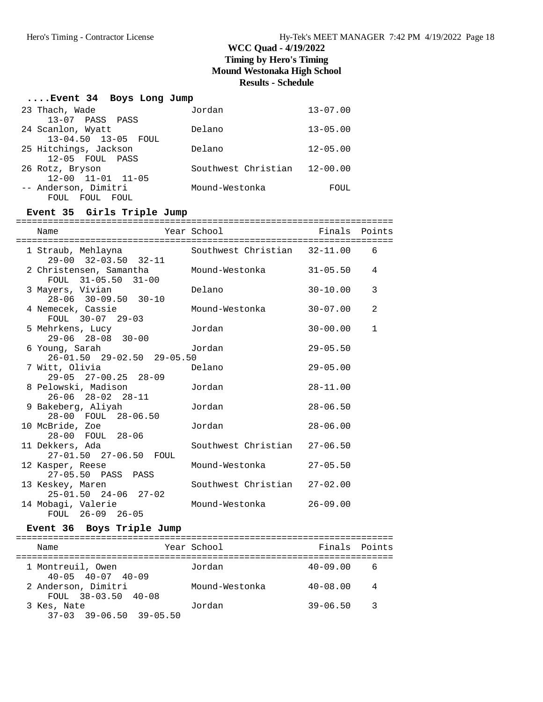## **....Event 34 Boys Long Jump**

| 23 Thach, Wade               | Jordan              | $13 - 07.00$ |
|------------------------------|---------------------|--------------|
| 13-07 PASS PASS              |                     |              |
| 24 Scanlon, Wyatt            | Delano              | $13 - 05.00$ |
| 13-04.50 13-05 FOUL          |                     |              |
| 25 Hitchings, Jackson        | Delano              | $12 - 05.00$ |
| 12-05 FOUL PASS              |                     |              |
| 26 Rotz, Bryson              | Southwest Christian | $12 - 00.00$ |
| 12-00 11-01 11-05            |                     |              |
| -- Anderson, Dimitri         | Mound-Westonka      | FOUL         |
| <b>FOUL</b><br>FOUL.<br>FOUL |                     |              |

## **Event 35 Girls Triple Jump**

| Name                                                                | Year School                  | Finals Points |              |
|---------------------------------------------------------------------|------------------------------|---------------|--------------|
| 1 Straub, Mehlayna<br>29-00 32-03.50 32-11                          | Southwest Christian 32-11.00 |               | 6            |
| 2 Christensen, Samantha     Mound-Westonka<br>$FOUL$ 31-05.50 31-00 |                              | 31-05.50      | 4            |
| 3 Mayers, Vivian<br>yers, Vivian<br>28-06 30-09.50 30-10            | Delano                       | $30 - 10.00$  | 3            |
| 4 Nemecek, Cassie<br>FOUL 30-07 29-03                               | Mound-Westonka               | $30 - 07.00$  | 2            |
| 5 Mehrkens, Lucy<br>$29-06$ $28-08$ $30-00$                         | Jordan                       | $30 - 00.00$  | $\mathbf{1}$ |
| 6 Young, Sarah<br>26-01.50 29-02.50 29-05.50                        | Jordan                       | $29 - 05.50$  |              |
| 7 Witt, Olivia<br>$29-05$ $27-00.25$ $28-09$                        | Delano                       | $29 - 05.00$  |              |
| 8 Pelowski, Madison<br>$26-06$ $28-02$ $28-11$                      | Jordan                       | $28 - 11.00$  |              |
| 9 Bakeberg, Aliyah<br>28-00 FOUL 28-06.50                           | Jordan                       | $28 - 06.50$  |              |
| 10 McBride, Zoe<br>28-00 FOUL 28-06                                 | Jordan                       | $28 - 06.00$  |              |
| 11 Dekkers, Ada<br>27-01.50 27-06.50 FOUL                           | Southwest Christian 27-06.50 |               |              |
| 12 Kasper, Reese<br>27-05.50 PASS PASS                              | Mound-Westonka               | $27 - 05.50$  |              |
| 13 Keskey, Maren<br>$25 - 01.50$ $24 - 06$ $27 - 02$                | Southwest Christian 27-02.00 |               |              |
| 14 Mobagi, Valerie<br>FOUL 26-09 26-05                              | Mound-Westonka               | $26 - 09.00$  |              |

#### **Event 36 Boys Triple Jump**

| Name                                               | Year School    |              | Finals Points           |
|----------------------------------------------------|----------------|--------------|-------------------------|
| 1 Montreuil, Owen<br>$40 - 05$ $40 - 07$ $40 - 09$ | Jordan         | $40 - 09.00$ | - 6                     |
| 2 Anderson, Dimitri<br>FOUL $38-03.50$ $40-08$     | Mound-Westonka | $40 - 08.00$ | $\overline{4}$          |
| 3 Kes, Nate<br>$37-03$ $39-06.50$ $39-05.50$       | Jordan         | $39 - 06.50$ | $\overline{\mathbf{3}}$ |